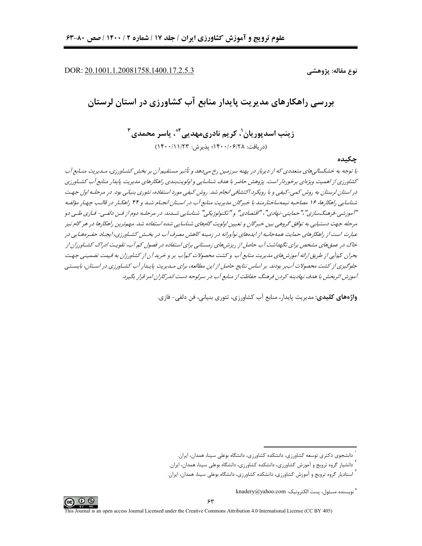DOR: 20.1001.1.20081758.1400.17.2.5.3

نوع مقاله: پژوهشے

بررسی راهکارهای مدیریت پایدار منابع آب کشاورزی در استان لرستان

زينب اسديوريان'، کريم نادري،مهديے، َ ؓ، پاسر محمدي ِ ؑ (د, يافت: ١۴٠٠/٠۶/٢٨؛ يذيرش: ١٣٠٠/١١/٢٣)

چکیده

با توجه به خشکسالی های متعددی که از دیرباز در پهنه سرزمین رخ میدهد و تأثیر مستقیم آن بر بخش کشـاورزی، مـدیریت منـابع آب کشاورزی از اهمیت ویژهای برخوردار است. پژوهش حاضر با هدف شناسایی و اولویتبندی راهکارهای مدیریت پایدار منابع آب کشـاورزی در استان لرستان به روش کمی-کیفی و با رویکرد اکتشافی انجام شد. روش کیفی مورد استفاده، تئوری بنیانی بود. در مرحله اول جهت شناسایی راهکارها، ۱۶ مصاحبه نیمهساختارمند با خبرگان مدیریت منابع آب در اسـتان انجـام شـد و ۴۴ راهکـار در قالـب چهـار مؤلفـه "آموزشی-فرهنگ سازی"،"حمایتی -نهادی"، "اقتصادی" و "نکنولوژیکی" شناسایی شساند. در مرحلـه دوم۱ز فـن دلفـی- فـازی طـی دو مرحله جهت دستیابی به توافق گروهی بین خبرگان و تعیین اولویت گامهای شناسایی شده استفاده شد. مهمترین راهکارها در هر گام نیز عبارت است از راهکارهای حمایت همهجانبه از ایدههای نوآورانه در زمینه کاهش مصرف آب در بخش کشـاورزی، ایجـاد حفـرههـایی در خاک در عمقهای مشخص برای نگهداشت آب حاصل از ریزشهای زمستانی برای استفاده در فصول کم آب، تقویت ادراک کشـاورزان از بحران کمآبی از طریق ارائه آموزشهای مدیریت منابع آب و کشت محصولات کمآب بر و خرید آن از کشاورزان به قیمت تضمینی جهت جلوگیری از کشت محصولات آببر بودند. بر اساس نتایج حاصل از این مطالعه، برای مـدیریت پایـدار آب کشـاورزی در اسـتان، بایسـتی آموزش اثربخش با هدف نهادینه کردن فرهنگ حفاظت از منابع آب در سرلوحه دست اندرکاران امر قرار بگیرد.

و**اژەھای کلیدی:** مدیریت بایدار، منابع آب کشاورزی، تئوری بنیانی، فن دلف*ی –* فازی.



دانشجوی دکتری توسعه کشاورزی، دانشکده کشاورزی، دانشگاه بوعلی سینا، همدان، ایران.

<sup>&</sup>lt;sup>'</sup> دانشیار گروه ترویج و آموزش کشاورزی، دانشکده کشاورزی، دانشگاه بوعلی سینا، همدان، ایران.

<sup>ٔ</sup> استادیار گروه ترویج و آموزش کشاورزی، دانشکده کشاورزی، دانشگاه بوعلی سینا، همدان، ایران.

<sup>&</sup>quot; نويسنده مسئول، يست الكترونيك: knadery@yahoo.com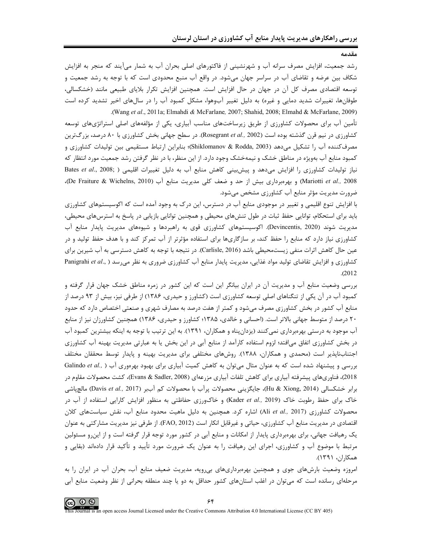مقدمد

رشد جمعیت، افزایش مصرف سرانه آب و شهرنشینی از فاکتورهای اصلی بحران آب به شمار میآیند که منجر به افزایش شکاف بین عرضه و تقاضای آب در سراسر جهان میشود. در واقع آب منبع محدودی است که با توجه به رشد جمعیت و توسعه اقتصادی مصرف کل آن در جهان در حال افزایش است. همچنین افزایش تکرار بلایای طبیعی مانند (خشکسالی، طوفانها، تغییرات شدید دمایی و غیره) به دلیل تغییر آبوهوا، مشکل کمبود آب را در سالهای اخیر تشدید کرده است (Wang et al., 2011a; Elmahdi & McFarlane, 2007; Shahid, 2008; Elmahd & McFarlane, 2009).

تأمین آب برای محصولات کشاورزی از طریق زیرساختهای مناسب آبیاری، یکی از مؤلفههای اصلی استراتژیهای توسعه کشاورزی در نیم قرن گذشته بوده است (Rosegrant et al., 2002). در سطح جهانی بخش کشاورزی با ۸۰ درصد، بزرگترین مصرف كننده آب را تشكيل مىدهد (Shiklomanov & Rodda, 2003)؛ بنابراين ارتباط مستقيمي بين توليدات كشاورزى و کمبود منابع آب بهویژه در مناطق خشک و نیمهخشک وجود دارد. از این منظر، با در نظر گرفتن رشد جمعیت مورد انتظار که نیاز تولیدات کشاورزی را افزایش می دهد و پیش بینی کاهش منابع آب به دلیل تغییرات اقلیمی ( Bates et al., 2008; Mariotti et al., 2008) و بهرهبرداری بیش از حد و ضعف کلی مدیریت منابع آب (De Fraiture & Wichelns, 2010). ضرورت مدیریت مؤثر منابع آب کشاورزی مشخص میشود.

با افزایش تنوع اقلیمی و تغییر در موجودی منابع آب در دسترس، این درک به وجود آمده است که اکوسیستمهای کشاورزی باید برای استحکام، توانایی حفظ ثبات در طول تنشهای محیطی و همچنین توانایی بازیابی در پاسخ به استرسهای محیطی، مدیریت شوند (Devincentis, 2020). اکوسیستمهای کشاورزی قوی به راهبردها و شیوههای مدیریت پایدار منابع آب کشاورزی نیاز دارد که منابع را حفظ کند، بر سازگاریها برای استفاده مؤثرتر از آب تمرکز کند و با هدف حفظ تولید و در عین حال کاهش اثرات منفی زیستمحیطی باشد (Carlisle, 2016). در نتیجه با توجه به کاهش دسترسی به آب شیرین برای Panigrahi et al., ) کشاورزی و افزایش تقاضای تولید مواد غذایی، مدیریت پایدار منابع آب کشاورزی ضروری به نظر می رسد  $. (2012)$ 

بررسی وضعیت منابع آب و مدیریت آن در ایران بیانگر این است که این کشور در زمره مناطق خشک جهان قرار گرفته و کمبود آب در آن یکی از تنگناهای اصلی توسعه کشاورزی است (کشاورز و حیدری، ۱۳۸۶) از طرفی نیز، بیش از ۹۳ درصد از منابع آب کشور در بخش کشاورزی مصرف میشود و کمتر از هفت درصد به مصارف شهری و صنعتی اختصاص دارد که حدود ۲۰ درصد از متوسط جهانی بالاتر است. (احسانی و خالدی، ۱۳۸۵؛ کشاورز و حیدری، ۱۳۸۶) همچنین کشاورزان نیز از منابع آب موجود به درستی بهرهبرداری نمیکنند (یزدانپناه و همکاران، ۱۳۹۱). به این ترتیب با توجه به اینکه بیشترین کمبود آب در بخش کشاورزی اتفاق میافتد؛ لزوم استفاده کارآمد از منابع آبی در این بخش یا به عبارتی مدیریت بهینه آب کشاورزی اجتنابـانايذير است (محمدي و همكاران، ١٣٨٨). روش&اي مختلفي براي مديريت بهينه و پايدار توسط محققان مختلف بررسی و پیشنهاد شده است که به عنوان مثال میتوان به کاهش کمیت آبیاری برای بهبود بهرهوری آب ( Galindo et al., 2018)، فناوريهاي پيشرفته آبياري براي كاهش تلفات آبياري مزرعهاي (Evans & Sadler, 2008)، كشت محصولات مقاوم در برابر خشكسالي (Hu & Xiong, 2014)، جايگزيني محصولات پرآب با محصولات كم آببر (Davis et al., 2017) مالچپاشي خاک برای حفظ رطوبت خاک (Kader et al., 2019) و خاک ورزی حفاظتی به منظور افزایش کارایی استفاده از آب در محصولات كشاورزي (Ali et al., 2017) اشاره كرد. همچنين به دليل ماهيت محدود منابع آب، نقش سياستهاي كلان اقتصادی در مدیریت منابع آب کشاورزی، حیاتی و غیرقابل انکار است (FAO, 2012). از طرفی نیز مدیریت مشارکتی به عنوان یک رهیافت جهانی، برای بهرهبرداری پایدار از امکانات و منابع آبی در کشور مورد توجه قرار گرفته است و از این رو مسئولین مرتبط با موضوع آب و کشاورزی، اجرای این رهیافت را به عنوان یک ضرورت مورد تأیید و تأکید قرار دادهاند (بقایی و همكاران، ۱۳۹۱).

امروزه وضعیت بارشهای جوی و همچنین بهرهبرداریهای بی ویه، مدیریت ضعیف منابع آب، بحران آب در ایران را به مرحلهای رسانده است که میتوان در اغلب استانهای کشور حداقل به دو یا چند منطقه بحرانی از نظر وضعیت منابع آبی

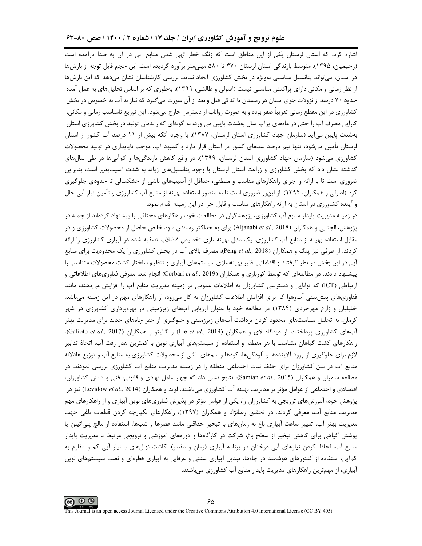### علوم ترویج و آموزش کشاورزی ایران / جلد ۱۷ / شماره ۲ / ۱۴۰۰ / صص ۸۰-۶۳

اشاره کرد، که استان لرستان یکی از این مناطق است که زنگ خطر تهی شدن منابع آبی در آن به صدا درآمده است (رحیمیان، ۱۳۹۵). متوسط بارندگی استان لرستان ۴۷۰ تا ۵۸۰ میلی متر برآورد گردیده است. این حجم قابل توجه از بارشها در استان، می تواند پتانسیل مناسبی بهویژه در بخش کشاورزی ایجاد نماید. بررسی کارشناسان نشان می دهد که این بارش ها از نظر زمانی و مکانی دارای پراکنش مناسبی نیست (اصولی و طالشی، ۱۳۹۹)، بهطوری که بر اساس تحلیلهای به عمل آمده حدود ۷۰ درصد از نزولات جوی استان در زمستان یا اندکی قبل و بعد از آن صورت می¢یرد که نیاز به آب به خصوص در بخش کشاورزی در این مقطع زمانی تقریباً صفر بوده و به صورت رواناب از دسترس خارج میشود. این توزیع نامناسب زمانی و مکانی، کارایی مصرف آب را حتی در ماههای پرآب سال بهشدت پایین میآورد، به گونهای که راندمان تولید در بخش کشاورزی استان بهشدت پایین میآید (سازمان جهاد کشاورزی استان لرستان، ۱۳۸۷). با وجود آنکه بیش از ۱۱ درصد آب کشور از استان لرستان تأمین میشود، تنها نیم درصد سدهای کشور در استان قرار دارد و کمبود آب، موجب ناپایداری در تولید محصولات کشاورزی می شود (سازمان جهاد کشاورزی استان لرستان، ۱۳۹۹). در واقع کاهش بارندگی ها و کمآبی ها در طی سال های گذشته نشان داد که بخش کشاورزی و زراعت استان لرستان با وجود پتانسیلهای زیاد، به شدت آسیبپذیر است، بنابراین ضروری است تا با ارائه و اجرای راهکارهای مناسب و منطقی، حداقل از آسیبهای ناشی از خشکسالی تا حدودی جلوگیری کرد (اصولی و همکاران، ۱۳۹۴). از اینرو ضروری است تا به منظور استفاده بهینه از منابع آب کشاورزی و تأمین نیاز آبی حال و آینده کشاورزی در استان به ارائه راهکارهای مناسب و قابل اجرا در این زمینه اقدام نمود.

در زمینه مدیریت پایدار منابع آب کشاورزی، پژوهشگران در مطالعات خود، راهکارهای مختلفی را پیشنهاد کردهاند از جمله در یژوهش، الجنابی و همکاران (Aljanabi et al., 2018) برای به حداکثر رساندن سود خالص حاصل از محصولات کشاورزی و در مقابل استفاده بهینه از منابع آب کشاورزی، یک مدل بهینهسازی تخصیص فاضلاب تصفیه شده در آبیاری کشاورزی را ارائه کردند. از طرفی نیز پنگ و همکاران (Peng et al., 2018)، مصرف بالای آب در بخش کشاورزی را یک محدودیت برای منابع آبی در این بخش در نظر گرفتند و اقداماتی نظیر بهینهسازی سیستمهای آبیاری و تنظیم ساختار کشت محصولات متناسب را پیشنهاد دادند. در مطالعهای که توسط کورباری و همکاران (Corbari *et al.,* 2019) انجام شد، معرفی فناوریهای اطلاعاتی و ارتباطی (ICT) که توانایی و دسترسی کشاورزان به اطلاعات عمومی در زمینه مدیریت منابع آب را افزایش میدهند، مانند فناوریهای پیش بینی آبوهوا که برای افزایش اطلاعات کشاورزان به کار میرود، از راهکارهای مهم در این زمینه میباشد. خلیلیان و زارع مهرجردی (۱۳۸۴) در مطالعه خود با عنوان ارزیابی آبهای زیرزمینی در بهرهبرداری کشاورزی در شهر کرمان، به تحلیل سیاستهای محدود کردن برداشت آبهای زیرزمینی و جلوگیری از حفر چاههای جدید برای مدیریت بهتر آبهای کشاورزی پرداختند. از دیدگاه لای و همکاران (Lie et al., 2019) و گالیتو و همکاران (Galioto et al., 2017)، راهکارهای کشت گیاهان متناسب با هر منطقه و استفاده از سیستمهای آبیاری نوین با کمترین هدر رفت آب، اتخاذ تدابیر لازم برای جلوگیری از ورود آلایندهها و آلودگیها، کودها و سمهای ناشی از محصولات کشاورزی به منابع آب و توزیع عادلانه منابع آب در بین کشاورزان برای حفظ ثبات اجتماعی منطقه را در زمینه مدیریت منابع آب کشاورزی بررسی نمودند. در مطالعه سامیان و همکاران (Samian et al., 2015)، نتایج نشان داد که چهار عامل نهادی و قانونی، فنی و دانش کشاورزان، اقتصادی و اجتماعی از عوامل مؤثر بر مدیریت بهینه آب کشاورزی میباشند. لوید و همکاران (Levidow et al., 2014) نیز در پژوهش خود، آموزشهای ترویجی به کشاورزان را، یکی از عوامل مؤثر در پذیرش فناوریهای نوین آبیاری و از راهکارهای مهم مدیریت منابع آب، معرفی کردند. در تحقیق رضانژاد و همکاران (۱۳۹۷)، راهکارهای یکپارچه کردن قطعات باغی جهت مدیریت بهتر آب، تغییر ساعت آبیاری باغ به زمانهای با تبخیر حداقلی مانند عصرها و شبها، استفاده از مالچ پلی|تیلن یا پوشش گیاهی برای کاهش تبخیر از سطح باغ، شرکت در کارگاهها و دورههای آموزشی و ترویجی مرتبط با مدیریت پایدار منابع آب، لحاظ کردن نیازهای آبی درختان در برنامه آبیاری (زمان و مقدار)، کاشت نهالهای با نیاز آبی کم و مقاوم به کمآبی، استفاده از کنتورهای هوشمند در چاهها، تبدیل آبیاری سنتی و غرقابی به آبیاری قطرهای و نصب سیستمهای نوین آبیاری، از مهمترین راهکارهای مدیریت پایدار منابع آب کشاورزی میباشند.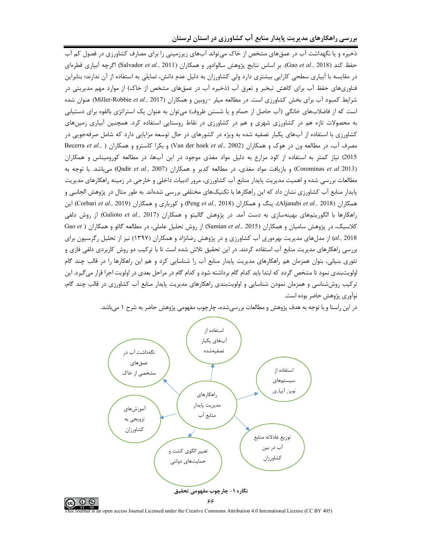ذخیره و یا نگهداشت آب در عمقهای مشخص از خاک میتواند آبهای زیرزمینی را برای مصارف کشاورزی در فصول کم آب حفظ كند (Gao *et al.,* 2018). بر اساس نتايج پژوهش سالوادور و همكاران (Salvador *et al.,* 2011) اگرچه آبياري قطرهاي در مقایسه با آبیاری سطحی کارایی بیشتری دارد ولی کشاورزان به دلیل عدم دانش، تمایلی به استفاده از آن ندارند؛ بنابراین فناوریهای حفظ آب برای کاهش تبخیر و تعرق آب (ذخیره آب در عمقهای مشخص از خاک) از موارد مهم مدیریتی در شرايط كمبود آب براى بخش كشاورزى است. در مطالعه ميلر -روبين و همكاران (Miller-Robbie *et al., 2017)* عنوان شده است که از فاضلابهای خانگی (آب حاصل از حمام و یا شستن ظروف) میتوان به عنوان یک استراتژی بالقوه برای دستیابی به محصولات تازه هم در کشاورزی شهری و هم در کشاورزی در نقاط روستایی استفاده کرد. همچنین آبیاری زمینهای کشاورزی با استفاده از آبهای یکبار تصفیه شده به ویژه در کشورهای در حال توسعه مزایایی دارد که شامل صرفهجویی در مصرف آب، در مطالعه ون در هوک و همکاران (Van der hoek *et al., 2002)* و بکرا کاسترو و همکاران ( .Becerra *et al* 2015) نیاز کمتر به استفاده از کود مزارع به دلیل مواد مغذی موجود در این آبها، در مطالعه کورومیناس و همکاران (Corominas *et al 2*013) و بازیافت مواد مغذی، در مطالعه کدیر و همکاران (Qadir *et al., 2007)* میباشد. با توجه به مطالعات بررسی شده و اهمیت مدیریت پایدار منابع آب کشاورزی، مرور ادبیات داخلی و خارجی در زمینه راهکارهای مدیریت پایدار منابع آب کشاورزی نشان داد که این راهکارها با تکنیکهای مختلفی بررسی شدهاند. به طور مثال در پژوهش الجانبی و همکاران (Aljanabi *et al.,* 2018)، پنگ و همکاران (Peng *et al.,* 2018) و کورباری و همکاران (Corbari *et al.,* 2019) این راهکارها با الگوریتمهای بهینهسازی به دست آمد. در پژوهش گالیتو و همکاران (Galioto *et al.,* 2017) از روش دلفی كلاسيك، در پژوهش ساميان و همكاران (Samian *et al.,* 2015) از روش تحليل عاملي، در مطالعه گائو و همكاران ( Gao *et* al., 2018) از مدلهای مدیریت بهرهوری آب کشاورزی و در پژوهش رضانژاد و همکاران (۱۳۹۷) نیز از تحلیل رگرسیون برای بررسی راهکارهای مدیریت منابع آب استفاده کردند. در این تحقیق تلاش شده است تا با ترکیب دو روش کاربردی دلفی فازی و تئوری بنیانی، بتوان همزمان هم راهکارهای مدیریت پایدار منابع آب را شناسایی کرد و هم این راهکارها را در قالب چند گام اولویتبندی نمود تا مشخص گردد که ابتدا باید کدام گام برداشته شود و کدام گام در مراحل بعدی در اولویت اجرا قرار میگیرد. این ترکیب روششناسی و همزمان نمودن شناسایی و اولویتبندی راهکارهای مدیریت پایدار منابع آب کشاورزی در قالب چند گام، نوآوري پژوهش حاضر بوده است.



در این راستا و با توجه به هدف پژوهش و مطالعات بررسیشده، چارچوب مفهومی پژوهش حاضر به شرح ۱ میباشد.

al is an open access Journal Licensed under the Creative Commons Attribution 4.0 International License (CC BY 405)

@ ⊕ ⊜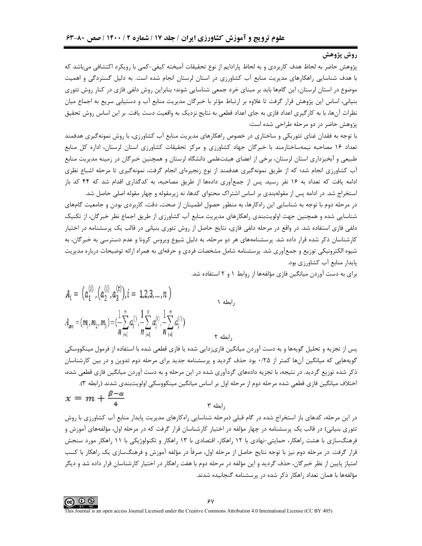### روش پژوهش

پژوهش حاضر به لحاظ هدف کاربردی و به لحاظ پارادایم از نوع تحقیقات آمیخته کیفی-کمی با رویکرد اکتشافی می باشد که با هدف شناسایی راهکارهای مدیریت منابع آب کشاورزی در استان لرستان انجام شده است. به دلیل گستردگی و اهمیت موضوع در استان لرستان، این گامها باید بر مبنای خرد جمعی شناسایی شوند؛ بنابراین روش دلفی فازی در کنار روش تئوری بنیانی، اساس این پژوهش قرار گرفت تا علاوه بر ارتباط مؤثر با خبرگان مدیریت منابع آب و دستیابی سریع به اجماع میان نظرات آنها، با به کارگیری اعداد فازی به جای اعداد قطعی به نتایج نزدیک به واقعیت دست یافت. بر این اساس روش تحقیق پژوهش حاضر در دو مرحله طراحی شده است:

با توجه به فقدان غنای تئوریکی و ساختاری در خصوص راهکارهای مدیریت منابع آب کشاورزی، با روش نمونه گیری هدفمند تعداد ۱۶ مصاحبه نیمهساختارمند با خبرگان جهاد کشاورزی و مرکز تحقیقات کشاورزی استان لرستان، اداره کل منابع طبیعی و آبخیزداری استان لرستان، برخی از اعضای هیئتعلمی دانشگاه لرستان و همچنین خبرگان در زمینه مدیریت منابع آب کشاورزی انجام شد؛ که از طریق نمونهگیری هدفمند از نوع زنجیرهای انجام گرفت، نمونهگیری تا مرحله اشباع نظری ادامه یافت که تعداد به ۱۶ نفر رسید. پس از جمعآوری دادهها از طریق مصاحبه، به کدگذاری اقدام شد که ۴۴ کد باز

استخراج شد. در ادامه پس از مقولهبندی بر اساس اشتراک محتوای کدها، نه زیرمقوله و چهار مقوله اصلی حاصل شد. در مرحله دوم با توجه به شناسایی این راهکارها، به منظور حصول اطمینان از صحت، دقت، کاربردی بودن و جامعیت گامهای شناسایی شده و همچنین جهت اولویتبندی راهکارهای مدیریت منابع آب کشاورزی از طریق اجماع نظر خبرگان، از تکنیک دلفی فازی استفاده شد. در واقع در مرحله دلفی فازی، نتایج حاصل از روش تئوری بنیانی در قالب یک پرسشنامه در اختیار کارشناسان ذکر شده قرار داده شد. پرسشنامههای هر دو مرحله، به دلیل شیوع ویروس کرونا و عدم دسترسی به خبرگان، به شیوه الکترونیکی توزیع و جمعآوری شد. پرسشنامه شامل مشخصات فردی و حرفهای به همراه ارائه توضیحات درباره مدیریت یایدار منابع آب کشاورزی بود.

برای به دست آوردن میانگین فازی مؤلفهها از روابط ۱ و ۲ استفاده شد.

$$
A_{i} = (a_{1}^{(i)}, (a_{2}^{(i)}, a_{3}^{(t)}), i = 1, 2, 3, ..., n)
$$
  
\n
$$
A_{ave} = (m_{1}, m_{2}, m_{3}) = (\frac{1}{n} \sum_{i=1}^{n} a_{1}^{(i)}, \frac{1}{n} \sum_{i=1}^{n} a_{2}^{(i)}, \frac{1}{n} \sum_{i=1}^{n} a_{3}^{(i)})
$$

پس از تجزیه و تحلیل گویهها و به دست آوردن میانگین فازیزدایی شده یا فازی قطعی شده با استفاده از فرمول مینکووسکی گویههایی که میانگین آنها کمتر از ۰/۲۵ بود حذف گردید و پرسشنامه جدید برای مرحله دوم تدوین و در بین کارشناسان ذکر شده توزیع گردید. در نتیجه، با تجزیه دادههای گردآوری شده در این مرحله و به دست آوردن میانگین فازی قطعی شده، اختلاف میانگین فازی قطعی شده مرحله دوم از مرحله اول بر اساس میانگین مینکووسکی اولویتبندی شدند (رابطه ۳).

, ابطه

$$
x = m + \frac{\beta - \alpha}{4}
$$

در این مرحله، کدهای باز استخراج شده در گام قبلی (مرحله شناسایی راهکارهای مدیریت پایدار منابع آب کشاورزی با روش تئوري بنياني) در قالب يک پرسشنامه در چهار مؤلفه در اختيار کارشناسان قرار گرفت که در مرحله اول، مؤلفههاي آموزش و فرهنگسازی با هشت راهکار، حمایتی-نهادی با ۱۲ راهکار، اقتصادی با ۱۳ راهکار و تکنولوژیکی با ۱۱ راهکار مورد سنجش قرار گرفت. در مرحله دوم نیز با توجه نتایج حاصل از مرحله اول، صرفاً در مؤلفه آموزش و فرهنگسازی یک راهکار با کسب امتیاز پایین از نظر خبرگان، حذف گردید و این مؤلفه در مرحله دوم با هفت راهکار در اختیار کارشناسان قرار داده شد و دیگر مؤلفهها با همان تعداد راهکار ذکر شده در پرسشنامه گنجانیده شدند.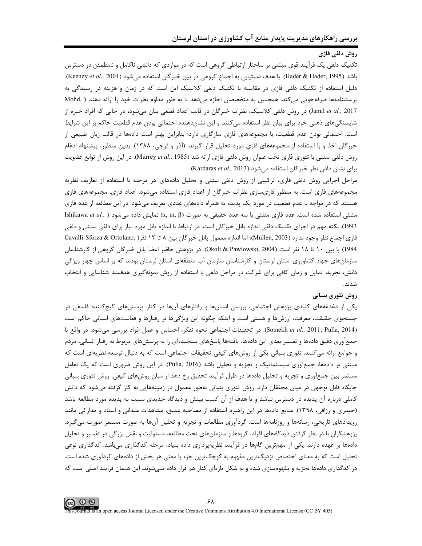#### **روش دلفی فازی**

تکنیک دلفی یک فرآیند قوی مبتنی بر ساختار ارتباطی گروهی است که در مواردی که دانشی ناکامل و نامطمئن در دسترس باشد (Hader & Hader, 1995). با هدف دستیابی به اجماع گروهی در بین خبرگان استفاده میشود (Keeney *et al., 2001).* دلیل استفاده از تکنیک دلفی فازی در مقایسه با تکنیک دلفی کلاسیک این است که در زمان و هزینه در رسیدگی به پرسشنامهها صرفهجویی میکند. همچنین به متخصصان اجازه میدهد تا به طور مداوم نظرات خود را ارائه دهند ( .Mohd Jamil et al., 2017) در روش دلفی کلاسیک، نظرات خبرگان در قالب اعداد قطعی بیان میشود، در حالی که افراد خبره از شایستگیهای ذهنی خود برای بیان نظر استفاده میکنند و این نشاندهنده احتمالی بودن عدم قطعیت حاکم بر این شرایط است. احتمالي بودن عدم قطعيت، با مجموعههاي فازي سازگاري دارد؛ بنابراين بهتر است دادهها در قالب زبان طبيعي از خبرگان اخذ و با استفاده از مجموعههای فازی مورد تحلیل قرار گیرند. (آذر و فرجی، ۱۳۸۸). بدین منظور، پیشنهاد ادغام روش دلفي سنتي با تئوري فازي تحت عنوان روش دلفي فازي ارائه شد (Murrey *et al.*, 1985). در اين روش از توابع عضويت براي نشان دادن نظر خبرگان استفاده ميشود (Kardaras *et al.,* 2013).

مراحل اجرایی روش دلفی فازی، ترکیبی از روش دلفی سنتی و تحلیل دادههای هر مرحله با استفاده از تعاریف نظریه مجموعههای فازی است. به منظور فازیسازی نظرات خبرگان از اعداد فازی استفاده میشود. اعداد فازی، مجموعههای فازی هستند که در مواجه با عدم قطعیت در مورد یک پدیده به همراه دادههای عددی تعریف میشود. در این مطالعه از عدد فازی مثلثی استفاده شده است. عدد فازی مثلثی با سه عدد حقیقی به صورت (α, m, β) نمایش داده میشود ( .,Ishikawa *et al* 1993). نكته مهم در اجراي تكنيك دلفي اندازه پانل خبرگان است. در ارتباط با اندازه پانل مورد نياز براي دلفي سنتي و دلفي فازي اجماع نظر وجود ندارد (Mullen, 2003)؛ اما اندازه معمول پانل خبرگان بين ٨ تا ١٢ نفر( ,Cavalli-Sforza & Ortolano 1984) يا بين ١٠ تا ١٨ نفر است (Dkoli & Pawlowski, 2004). در پژوهش حاضر اعضا پانل خبرگان گروهي از كارشناسان سازمانهای جهاد کشاورزی استان لرستان و کارشناسان سازمان آب منطقهای استان لرستان بودند که بر اساس چهار ویژگی دانش، تجربه، تمایل و زمان کافی برای شرکت در مراحل دلفی با استفاده از روش نمونهگیری هدفمند شناسایی و انتخاب ..J.B

#### **روش تئوری بنیانی**

یکی از دغدغههای کلیدی پژوهش اجتماعی، بررسی انسانها و رفتارهای آنها در کنار پرسشهای گیجکننده فلسفی در جستجوى حقيقت، معرفت، ارزشها و هستي است و اينكه چگونه اين ويژگيها بر رفتارها و فعاليتهاى انساني حاكم است (Somekh *et al.,* 2011; Pulla, 2014). در تحقيقات اجتماعي نحوه تفكر، احساس و عمل افراد بررسي ميشود. در واقع با جمعآوری دقیق دادهها و تفسیر بعدی این دادهها، یافتهها پاسخهای سنجیدهای را به پرسشهای مربوط به رفتار انسانی، مردم و جوامع ارائه میکنند. تئوری بنیانی یکی از روشهای کیفی تحقیقات اجتماعی است که به دنبال توسعه نظریهای است که مبتنی بر دادهها، جمعآوری سیستماتیک و تجزیه و تحلیل باشد (Pulla, 2016). در این روش ضروری است که یک تعامل مستمر بین جمعآوری و تجزیه و تحلیل دادهها در طول فرآیند تحقیق رخ دهد از میان روشهای کیفی، روش تئوری بنیانی جایگاه قابل توجهی در میان محققان دارد. روش تئوری بنیانی بهطور معمول در زمینههایی به کار گرفته میشود که دانش کاملی درباره آن پدیده در دسترس نباشد و یا هدف از آن کسب بینش و دیدگاه جدیدی نسبت به پدیده مورد مطالعه باشد (حیدری و رزاقی، ۱۳۹۸). منابع دادهها در این راهبرد استفاده از مصاحبه عمیق، مشاهدات میدانی و اسناد و مدارکی مانند رویدادهای تاریخی، رسانهها و روزنامهها است. گردآوری مطالعات و تجزیه و تحلیل آنها به صورت مستمر صورت میگیرد. پژوهشگران با در نظر گرفتن دیدگاههای افراد، گروهها و سازمانهای تحت مطالعه، مسئولیت و نقش بزرگی در تفسیر و تحلیل دادهها بر عهده دارند. یکی از مهمترین گامها در فرآیند نظریهپردازی داده بنیاد، مرحله کدگذاری میباشد. کدگذاری نوعی تحلیل است که به معنای اختصاص نزدیکترین مفهوم به کوچکترین جزء با معنی هر بخش از دادههای گردآوری شده است. در کدگذاری دادهها تجزیه و مفهومسازی شده و به شکل تازهای کنار هم قرار داده مـیشوند. این هـمان فرایند اصلی است که

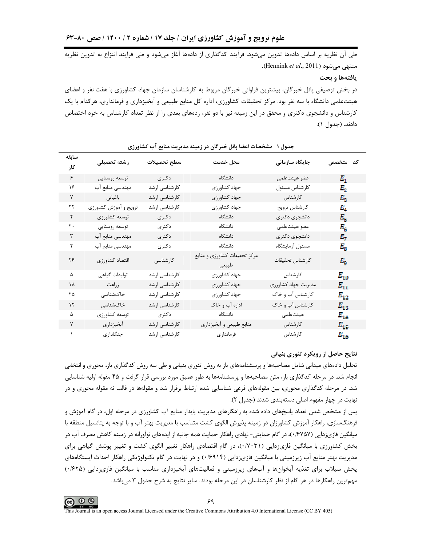طی آن نظریه بر اساس دادهها تدوین میشود. فرآیند کدگذاری از دادهها آغاز میشود و طی فرایند انتزاع به تدوین نظریه منتهی میشود (Hennink et al., 2011).

#### يافتهها و بحث

در بخش توصیفی پانل خبرگان، بیشترین فراوانی خبرگان مربوط به کارشناسان سازمان جهاد کشاورزی با هفت نفر و اعضای هیئتعلمی دانشگاه با سه نفر بود. مرکز تحقیقات کشاورزی، اداره کل منابع طبیعی و آبخیزداری و فرمانداری، هرکدام با یک کارشناس و دانشجوی دکتری و محقق در این زمینه نیز با دو نفر، ردههای بعدی را از نظر تعداد کارشناس به خود اختصاص دادند. (جدول ١).

| سابقه             |                       |               |                                       |                     |             |
|-------------------|-----------------------|---------------|---------------------------------------|---------------------|-------------|
| کار               | رشته تحصيلى           | سطح تحصيلات   | محل خدمت                              | جایگاه سازمانی      | كد متخصص    |
| ۶                 | توسعه روستايي         | دكترى         | دانشگاه                               | عضو هيئتعلمى        | $E_{1}$     |
| ۱۶                | مهندسی منابع آب       | كارشناسى ارشد | جهاد كشاورزى                          | كارشناس مسئول       | $E_2$       |
| ٧                 | باغبانى               | كارشناسى ارشد | جهاد كشاورزي                          | كارشناس             | $E_{3}$     |
| ۲۲                | ترويج و أموزش كشاورزي | كارشناسى ارشد | جهاد كشاورزى                          | كارشناس ترويج       | Е4          |
| $\mathsf{r}$      | توسعه كشاورزي         | دكترى         | دانشگاه                               | دانشجوي دكترى       | $E_{\rm K}$ |
| $\mathsf{r}\cdot$ | توسعه روستايي         | دكترى         | دانشگاه                               | عضو هيئتعلمى        | $E_{\rm g}$ |
| ٣                 | مهندسی منابع آب       | دكترى         | دانشگاه                               | دانشجوي دكترى       | E.          |
| ٢                 | مهندسی منابع آب       | دكترى         | دانشگاه                               | مسئول أزمايشگاه     | $E_{\rm B}$ |
| ۲۶                | اقتصاد كشاورزي        | كارشناسى      | مرکز تحقیقات کشاورزی و منابع<br>طبيعي | كارشناس تحقيقات     | E.,         |
| ۵                 | توليدات گياهي         | كارشناسى ارشد | جهاد كشاورزي                          | كارشناس             | $E_{10}$    |
| ۱۸                | زراعت                 | کارشناسی ارشد | جهاد كشاورزي                          | مديريت جهاد كشاورزي | $E_{11}$    |
| ۲۵                | خاکشناسی              | كارشناسى ارشد | جهاد كشاورزي                          | کارشناس آب و خاک    | $E_{12}$    |
| $\gamma$          | خاکشناسی              | كارشناسى ارشد | اداره آب و خاک                        | کارشناس آب و خاک    | $E_{13}$    |
| ۵                 | توسعه كشاورزي         | دكترى         | دانشگاه                               | هيئتعلمى            | $E_{14}$    |
| ٧                 | أبخيزداري             | كارشناسى ارشد | منابع طبيعي و أبخيزداري               | كارشناس             | $E_{15}$    |
| $\lambda$         | جنگلداری              | كارشناسى ارشد | فرمانداري                             | كارشناس             | $E_{16}$    |

#### جدول ۱– مشخصات اعضا پانل خبرگان در زمینه مدیریت منابع آب کشاورزی

### نتایج حاصل از رویکرد تئوری بنیانی

تحلیل دادههای میدانی شامل مصاحبهها و پرسشنامههای باز به روش تئوری بنیانی و طی سه روش کدگذاری باز، محوری و انتخابی انجام شد. در مرحله کدگذاری باز، متن مصاحبهها و پرسشنامهها به طور عمیق مورد بررسی قرار گرفت و ۴۵ مقوله اولیه شناسایی شد. در مرحله کدگذاری محوری، بین مقولههای فرعی شناسایی شده ارتباط برقرار شد و مقولهها در قالب نه مقوله محوری و در نهایت در چهار مفهوم اصلی دستهبندی شدند (جدول ۲).

پس از مشخص شدن تعداد پاسخهای داده شده به راهکارهای مدیریت پایدار منابع آب کشاورزی در مرحله اول، در گام آموزش و فرهنگسازی، راهکار آموزش کشاورزان در زمینه پذیرش الگوی کشت متناسب با مدیریت بهتر آب و با توجه به پتانسیل منطقه با میانگین فازیزدایی (۱٬۶۷۵۷)، در گام حمایتی- نهادی راهکار حمایت همه جانبه از ایدههای نوآورانه در زمینه کاهش مصرف آب در بخش کشاورزی با میانگین فازیزدایی (۰/۷۰۳۱)، در گام اقتصادی راهکار تغییر الگوی کشت و تغییر پوشش گیاهی برای مدیریت بهتر منابع آب زیرزمینی با میانگین فازی;دایی (۱۴۹۹۴۰) و در نهایت در گام تکنولوژیکی راهکار احداث ایستگاههای پخش سیلاب برای تغذیه آبخوانها و آبهای زیرزمینی و فعالیتهای آبخیزداری مناسب با میانگین فازیزدایی (۰/۶۲۵) مهمترین راهکارها در هر گام از نظر کارشناسان در این مرحله بودند. سایر نتایج به شرح جدول ۳ میباشد.

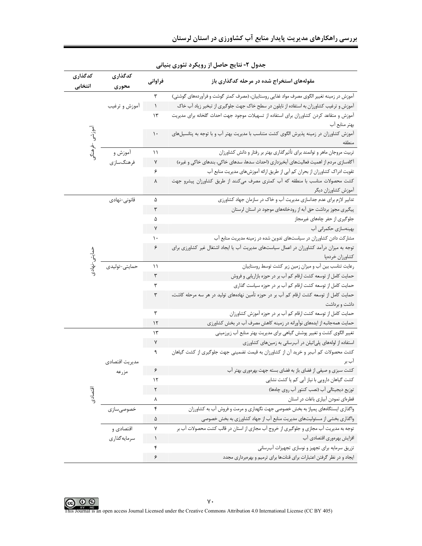|  |  |  |  | بررسی راهکارهای مدیریت پایدار منابع آب کشاورزی در استان لرستان |  |  |  |  |  |  |  |  |
|--|--|--|--|----------------------------------------------------------------|--|--|--|--|--|--|--|--|
|--|--|--|--|----------------------------------------------------------------|--|--|--|--|--|--|--|--|

| كدگذارى      | كدگذارى        | فراواني   | مقولههای استخراج شده در مرحله کدگذاری باز                                                                                                                                            |
|--------------|----------------|-----------|--------------------------------------------------------------------------------------------------------------------------------------------------------------------------------------|
| انتخابى      | محورى          | ٣         |                                                                                                                                                                                      |
|              | أموزش و ترغيب  | $\lambda$ | آموزش در زمینه تغییر الگوی مصرف مواد غذایی روستاییان، (مصرف کمتر گوشت و فرآوردههای گوشتی)<br>آموزش و ترغیب کشاورزان به استفاده از نایلون در سطح خاک جهت جلوگیری از تبخیر زیاد آب خاک |
|              |                | $\gamma$  | آموزش و متقاعد كردن كشاورزان براى استفاده از تسهيلات موجود جهت احداث گلخانه براى مديريت                                                                                              |
|              |                |           | بهتر منابع آب                                                                                                                                                                        |
|              |                | ١.        | آموزش کشاورزان در زمینه پذیرش الگوی کشت متناسب با مدیریت بهتر آب و با توجه به پتانسیلهای                                                                                             |
|              |                |           |                                                                                                                                                                                      |
| موزشی خرهنگی | أموزش و        | ۱۱        | تربیت مروجان ماهر و توانمند برای تأثیرگذاری بهتر بر رفتار و دانش کشاورزان                                                                                                            |
|              | فرهنگسازي      | $\sf V$   | آگاهسازی مردم از اهمیت فعالیتهای آبخیزداری (احداث سدها، سدهای خاکی، بندهای خاکی و غیره)                                                                                              |
|              |                | ۶         | تقویت ادراک کشاورزان از بحران کم آبی از طریق ارائه آموزشهای مدیریت منابع آب                                                                                                          |
|              |                | ٨         | کشت محصولات مناسب با منطقه که آب کمتری مصرف میکنند از طریق کشاورزان پیشرو جهت                                                                                                        |
|              |                |           | آموزش كشاورزان ديگر                                                                                                                                                                  |
|              | قانونى-نهادى   | ۵         | تدابیر لازم برای عدم جداسازی مدیریت آب و خاک در سازمان جهاد کشاورزی                                                                                                                  |
|              |                | ٣         | پیگیری مجوز برداشت حق آبه از رودخانههای موجود در استان لرستان                                                                                                                        |
|              |                | ۵         | جلوگیری از حفر چاههای غیرمجاز                                                                                                                                                        |
|              |                | ٧         | بهینهسازی حکمرانی آب                                                                                                                                                                 |
|              |                | ۱۰        | مشارکت دادن کشاورزان در سیاستهای تدوین شده در زمینه مدیریت منابع آب                                                                                                                  |
|              |                | ۶         | توجه به میزان درآمد کشاورزان در اعمال سیاستهای مدیریت آب یا ایجاد اشتغال غیر کشاورزی برای                                                                                            |
|              |                |           | كشاورزان خردهپا                                                                                                                                                                      |
|              | حمايتى-توليدى  | ۱۱        | رعایت تناسب بین آب و میزان زمین زیر کشت توسط روستاییان                                                                                                                               |
|              |                | ٣         | حمایت کامل از توسعه کشت ارقام کم آب بر در حوزه بازاریابی و فروش                                                                                                                      |
|              |                | ٣         | حمایت کامل از توسعه کشت ارقام کم آب بر در حوزه سیاست گذاری                                                                                                                           |
|              |                | ٣         | حمایت کامل از توسعه کشت ارقام کم آب بر در حوزه تأمین نهادههای تولید در هر سه مرحله کاشت،                                                                                             |
|              |                |           | داشت و برداشت                                                                                                                                                                        |
|              |                | ٣         | حمایت کامل از توسعه کشت ارقام کم آب بر در حوزه آموزش کشاورزان                                                                                                                        |
|              |                | ۱۲        | حمایت همهجانبه از ایدههای نوآورانه در زمینه کاهش مصرف آب در بخش کشاورزی                                                                                                              |
|              |                | ۱۳        | تغییر الگوی کشت و تغییر پوشش گیاهی برای مدیریت بهتر منابع آب زیرزمینی                                                                                                                |
|              |                | ٧         | استفاده از لولههای پلیاتیلن در آبرسانی به زمینهای کشاورزی                                                                                                                            |
|              |                | ٩         | کشت محصولات کم آببر و خرید آن از کشاورزان به قیمت تضمینی جهت جلوگیری از کشت گیاهان                                                                                                   |
|              | مديريت اقتصادى |           | اب بر                                                                                                                                                                                |
|              | مزرعه          | ۶         | کشت سبزی و صیفی از فضای باز به فضای بسته جهت بهرهوری بهتر آب                                                                                                                         |
|              |                | ۱۲        | کشت گیاهان دارویی با نیاز آبی کم یا کشت نشایی                                                                                                                                        |
| اقتصادى      |                | ٢         | توزیع دیجیتالی آب (نصب کنتور آب روی چاهها)                                                                                                                                           |
|              |                | ٨         | قطرهای نمودن آبیاری باغات در استان                                                                                                                                                   |
|              | خصوصی سازی     | ۴         | واگذاری ایستگاههای پمپاژ به بخش خصوصی جهت نگهداری و مرمت و فروش آب به کشاورزان                                                                                                       |
|              |                | ۵         | واگذاری بخشی از مسئولیتهای مدیریت منابع آب از جهاد کشاورزی به بخش خصوصی                                                                                                              |
|              | اقتصادی و      | ٧         | توجه به مدیریت آب مجازی و جلوگیری از خروج آب مجازی از استان در قالب کشت محصولات آب بر                                                                                                |
|              | سرمايەگذارى    | $\lambda$ | افزایش بهرەورى اقتصادى آب                                                                                                                                                            |
|              |                | ۴         | تزریق سرمایه برای تجهیز و نوسازی تجهیزات آب سانی                                                                                                                                     |
|              |                | ۶         | ایجاد و در نظر گرفتن اعتبارات برای قناتها برای ترمیم و بهرهبرداری مجدد                                                                                                               |

# جدول ۲- نتایج حاصل از رویکرد تئوری بنیانی

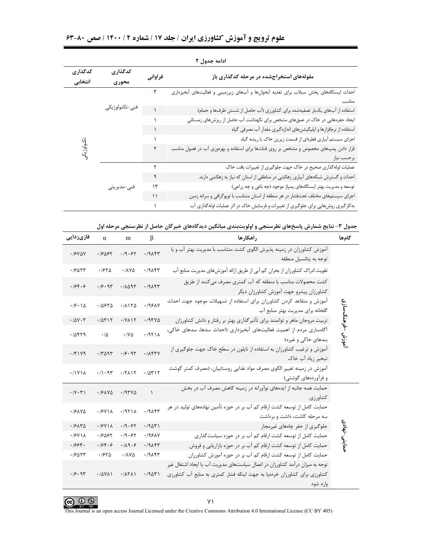| علوم ترویج و آموزش کشاورزی ایران / جلد ۱۷ / شماره ۲ / ۱۴۰۰ / صص ۸۰-۶۳ |  |  |
|-----------------------------------------------------------------------|--|--|
|-----------------------------------------------------------------------|--|--|

|                    |                  |               | ادامه جدول ۲                                                                          |
|--------------------|------------------|---------------|---------------------------------------------------------------------------------------|
| كدگذارى<br>انتخابى | كدگذارى<br>محورى | فراواني       | مقولههای استخراجشده در مرحله کدگذاری باز                                              |
|                    |                  |               | احداث ایستگاههای پخش سیلاب برای تغذیه آبخوانها و آبهای زیرزمینی و فعالیتهای آبخیزداری |
|                    |                  |               | مناسب                                                                                 |
|                    | فنى-تكنولوژيكى   |               | استفاده از آبهای یکبار تصفیهشده برای کشاورزی (آب حاصل از شستن ظرفها و حمام)           |
|                    |                  |               | ایجاد حفرههایی در خاک در عمقهای مشخص برای نگهداشت آب حاصل از ریزشهای زمستانی          |
|                    |                  |               | استفاده از نرمافزارها و اپلیکیشنهای اندازهگیری مقدار آب مصرفی گیاه                    |
|                    |                  |               | اجرای سیستم آبیاری قطرهای از قسمت زیرین خاک یا ریشه گیاه                              |
| تكنولوژيكم         |                  | ٢             | قرار دادن پمپهای مخصوص و مشخص بر روی قناتها برای استفاده و بهرەوری آب در فصول مناسب   |
|                    |                  |               | برحسب نياز                                                                            |
|                    |                  |               | عملیات لولهگذاری صحیح در خاک جهت جلوگیری از تغییرات بافت خاک                          |
|                    |                  | ٩             | احداث و گسترش شبکههای آبیاری زهکشی در مناطقی از استان که نیاز به زهکشی دارند          |
|                    | فنى-مديريتى      | $\mathcal{L}$ | توسعه و مدیریت بهتر ایستگاههای پمپاژ موجود (چه باغی و چه زراعی)                       |
|                    |                  | ۱۱            | اجرای سیستمهای مختلف تحتفشار در هر منطقه از استان متناسب با توپوگرافی و سرانه زمین    |
|                    |                  |               | به کار گیری روشهایی برای جلوگیری از تغییرات و فرسایش خاک در اثر عملیات لولهگذاری آب   |

|               | جدول ۳- نتایج شمارش پاسخهای نظرسنجی و اولویتبندی میانگین دیدگاههای خبرگان حاصل از نظرسنجی مرحله اول                                                                  |           |                              |        |                                              |  |  |  |  |  |
|---------------|----------------------------------------------------------------------------------------------------------------------------------------------------------------------|-----------|------------------------------|--------|----------------------------------------------|--|--|--|--|--|
| گامها         | راهكارها                                                                                                                                                             | β         | m                            | α      | فازیزدایی                                    |  |  |  |  |  |
|               | آموزش کشاورزان در زمینه پذیرش الگوی کشت متناسب با مدیریت بهتر آب و با<br>توجه به پتانسیل منطقه                                                                       | .19       | .19.57                       | 19997  | .19YAY                                       |  |  |  |  |  |
|               | تقویت ادراک کشاورزان از بحران کم آبی از طریق ارائه آموزشهای مدیریت منابع آب                                                                                          | .19       | .1110                        | .1970  | .19011                                       |  |  |  |  |  |
|               | کشت محصولات مناسب با منطقه که آب کمتری مصرف میکنند از طریق<br>كشاورزان پيشرو جهت آموزش كشاورزان ديگر                                                                 | .19       | .70097                       | .19.97 | .198.9                                       |  |  |  |  |  |
| હે            | آموزش و متقاعد کردن کشاورزان برای استفاده از تسهیلات موجود جهت احداث<br>گلخانه برای مدیریت بهتر منابع آب                                                             | .199AY    | .11170                       | .10970 | .19.10                                       |  |  |  |  |  |
| خرهنگ         | تربیت مروجان ماهر و توانمند برای تأثیرگذاری بهتر بر رفتار و دانش کشاورزان                                                                                            | .797V     | $.1Y$ $\wedge$               | .70717 | .70Y.7                                       |  |  |  |  |  |
| اموزش         | آگاهسازی مردم از اهمیت فعالیتهای آبخیزداری (احداث سدها، سدهای خاکی،<br>بندهای خاکی و غیره)                                                                           | .1951A    | $\cdot$ / $\vee$ $\triangle$ | ۰۱۵    | ۰/۵۴۲۹                                       |  |  |  |  |  |
|               | آموزش و ترغیب کشاورزان به استفاده از نایلون در سطح خاک جهت جلوگیری از<br>تبخیر زیاد آب خاک                                                                           | .1154V    | .19.97                       | .77097 | .781Y9                                       |  |  |  |  |  |
|               | آموزش در زمینه تغییر الگوی مصرف مواد غذایی روستاییان، (مصرف کمتر گوشت<br>و فرآوردههای گوشتی)                                                                         | .70717    | .77117                       | .797   | .71Y1A                                       |  |  |  |  |  |
|               | حمایت همه جانبه از ایدههای نوآورانه در زمینه کاهش مصرف آب در بخش<br>كشاورزى                                                                                          | $\lambda$ | .197V                        | .191V  | $\cdot$ / $\vee$ $\cdot$ $\uparrow$ $\wedge$ |  |  |  |  |  |
|               | حمایت کامل از توسعه کشت ارقام کم آب بر در حوزه تأمین نهادههای تولید در هر<br>سه مرحله کاشت، داشت و برداشت                                                            | .19       | .1951A                       | .19Y1A | .191YQ                                       |  |  |  |  |  |
| حمايتی –نهادی | جلوگیری از حفر چاههای غیرمجاز                                                                                                                                        | .7901     | .19.57                       | .19Y1A | .19110                                       |  |  |  |  |  |
|               | حمایت کامل از توسعه کشت ارقام کم آب بر در حوزه سیاستگذاری                                                                                                            | .199AN    | .19.57                       | .19097 | .19Y1A                                       |  |  |  |  |  |
|               | حمایت کامل از توسعه کشت ارقام کم آب بر در حوزه بازاریابی و فروش                                                                                                      | ۰/۹۸۴۳    | .119.8                       | .199.9 | .1994.                                       |  |  |  |  |  |
|               | حمایت کامل از توسعه کشت ارقام کم آب بر در حوزه آموزش کشاورزان                                                                                                        | .79       | .1110                        | .1970  | .19011                                       |  |  |  |  |  |
|               | توجه به میزان درآمد کشاورزان در اعمال سیاستهای مدیریت آب یا ایجاد اشتغال غیر<br>کشاورزی برای کشاورزان خردهپا به جهت اینکه فشار کمتری به منابع آب کشاورزی<br>وارد شود | .7901     | .7111                        | .70Y   | .19.97                                       |  |  |  |  |  |



**CO O O**<br>This Journal is an open access Journal Licensed under the Creative Commons Attribution 4.0 International License (CC BY 405)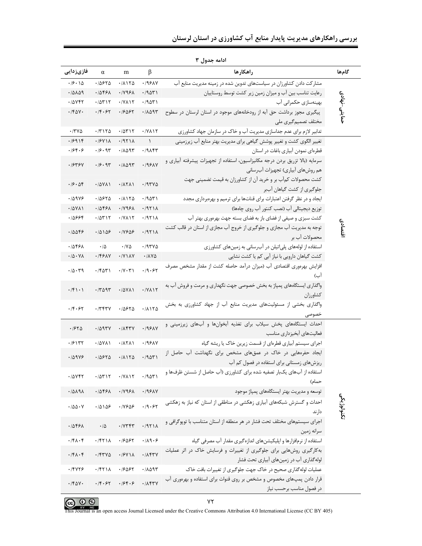| فازىزدايى                              | $\alpha$           | m                                            | $\beta$                                   | راهكارها                                                                                                                                     | گامها        |
|----------------------------------------|--------------------|----------------------------------------------|-------------------------------------------|----------------------------------------------------------------------------------------------------------------------------------------------|--------------|
| $\cdot$ /9 $\cdot$ 15                  | .70970             | .71170                                       | $.199 \text{AY}$                          | مشارکت دادن کشاورزان در سیاستهای تدوین شده در زمینه مدیریت منابع آب                                                                          |              |
| ۰/۵۸۵۹                                 | ٠١۵۴۶٨             | $\cdot$ / $\vee$ 9.6 $\wedge$                | ۰/۹۵۳۱                                    | رعایت تناسب بین آب و میزان زمین زیر کشت توسط روستاییان                                                                                       |              |
| .70YFT                                 | .70717             | $.7Y$ $\wedge$                               | .7901                                     | بهینهسازی حکمرانی آب                                                                                                                         | حمايتى-نهادى |
| $\cdot$ /۴۵۷۰                          | .79.57             | 1654-                                        | ۱۸۵۹۳.                                    | پیگیری مجوز برداشت حق آبه از رودخانههای موجود در استان لرستان در سطوح                                                                        |              |
|                                        |                    |                                              |                                           | مختلف تصمیم گیری ملی                                                                                                                         |              |
| $\cdot$ /۳۷۵                           | .77170             | .70717                                       | $\cdot$ / $\vee$ $\wedge$ $\wedge$ $\vee$ | تدابیر لازم برای عدم جداسازی مدیریت آب و خاک در سازمان جهاد کشاورزی                                                                          |              |
| .19914                                 | .19Y1A             | .7971A                                       | $\lambda$                                 | تغییر الگوی کشت و تغییر پوشش گیاهی برای مدیریت بهتر منابع آب زیرزمینی                                                                        |              |
| .184.9                                 | .79.97             | ۰/۸۵۹۳                                       | .79                                       | قطرهای نمودن آبیاری باغات در استان                                                                                                           |              |
| ۰/۶۳۶۷                                 | .79.97             | .70097                                       | .199AY                                    | سرمایه (بالا تزریق بردن درجه مکانیزاسیون، استفاده از تجهیزات پیشرفته آبیاری و                                                                |              |
|                                        |                    |                                              |                                           | هم روشهای آبیاری) تجهیزات آبرسانی                                                                                                            |              |
| .79.09                                 | .70Y <sub>1</sub>  | .7111                                        | .797V                                     | كشت محصولات كمآب بر و خريد آن از كشاورزان به قيمت تضميني جهت                                                                                 |              |
|                                        |                    |                                              |                                           | جلوگیری از کشت گیاهان آببر                                                                                                                   |              |
| .70999                                 | .70970             | .71170                                       | ۰/۹۵۳۱                                    | ایجاد و در نظر گرفتن اعتبارات برای قناتها برای ترمیم و بهرهبرداری مجدد                                                                       |              |
| .70Y                                   | ٠١۵۴۶٨             | $\cdot$ / $\vee$ 9.6 $\wedge$                | .7971                                     | توزیع دیجیتالی آب (نصب کنتور آب روی چاهها)                                                                                                   |              |
| 73964.                                 | .70717             | $\cdot$ / $\vee$ $\wedge$ $\wedge$ $\vee$    | .7971                                     | کشت سبزی و صیفی از فضای باز به فضای بسته جهت بهرهوری بهتر آب                                                                                 |              |
| 1554ء)                                 | .10105             | .11909                                       | .1971A                                    | توجه به مدیریت آب مجازی و جلوگیری از خروج آب مجازی از استان در قالب کشت                                                                      | اقتصادى      |
|                                        |                    |                                              |                                           | محصولات اب بر                                                                                                                                |              |
| ۰/۵۴۶۸                                 | $\cdot/\Delta$     | $\cdot$ / $\vee$ $\triangle$                 | ۱۹۳۷۵                                     | استفاده از لولههای پلیاتیلن در آبرسانی به زمینهای کشاورزی                                                                                    |              |
| $\cdot/\Delta$ $\cdot$ $\vee$ $\wedge$ | .1591V             | $\cdot$ /Y \ $\lambda$ Y                     | ۰/۸۷۵                                     | کشت گیاهان دارویی با نیاز آبی کم یا کشت نشایی                                                                                                |              |
| .70.79                                 | $\cdot$ $50^\circ$ | $\cdot$ / $\vee$ $\cdot$ $\uparrow$ $\wedge$ | .19.57                                    | افزایش بهرهوری اقتصادی آب (میزان درآمد حاصله کشت از مقدار مشخص مصرف                                                                          |              |
|                                        |                    |                                              |                                           | آب)                                                                                                                                          |              |
| $\cdot$ /۴۱۰۱                          | .7097              | .70Y                                         | $.7Y$ $\wedge$ $\wedge$                   | واگذاری ایستگاههای پمپاژ به بخش خصوصی جهت نگهداری و مرمت و فروش آب به                                                                        |              |
|                                        |                    |                                              |                                           | كشاورزان                                                                                                                                     |              |
| ۰/۴۰۶۲                                 | .7797              | .70970                                       | .71170                                    | واگذاری بخشی از مسئولیتهای مدیریت منابع آب از جهاد کشاورزی به بخش                                                                            |              |
|                                        |                    |                                              |                                           | خصوصی                                                                                                                                        |              |
| .7570                                  | .7097V             | . <i>I</i> IF TV                             | .199AY                                    | احداث ایستگاههای پخش سیلاب برای تغذیه آبخوانها و آبهای زیرزمینی و                                                                            |              |
|                                        |                    |                                              |                                           | فعاليتهاى آبخيز دارى مناسب                                                                                                                   |              |
| .79177                                 | .7011              | ۰/۸۲۸۱                                       | ۰/۹۶۸۷                                    | اجرای سیستم آبیاری قطرهای از قسمت زیرین خاک یا ریشه گیاه                                                                                     |              |
| .70999                                 | .70570             | .71170                                       | .7901                                     | ایجاد حفرههایی در خاک در عمقهای مشخص برای نگهداشت آب حاصل از                                                                                 |              |
|                                        |                    |                                              |                                           | ریزشهای زمستانی برای استفاده در فصول کم آب                                                                                                   |              |
| .70YFT                                 | .70717             | $\cdot$ /YAIT                                | ۰/۹۵۳۱                                    | استفاده از آبهای یکبار تصفیه شده برای کشاورزی (آب حاصل از شستن ظرفها و                                                                       |              |
| .70191                                 | .10591             | $\cdot$ / $\vee$ 9. $\times$                 | .199AY                                    | حمام)<br>توسعه و مدیریت بهتر ایستگاههای یمیاژ موجود                                                                                          |              |
|                                        |                    |                                              |                                           |                                                                                                                                              |              |
| $\cdot$ /00 $\cdot$ Y                  | .10109             | .11909                                       | .19.57                                    | احداث و گسترش شبکههای آبیاری زهکشی در مناطقی از استان که نیاز به زهکشی                                                                       | تكنولوژيكى   |
|                                        |                    |                                              |                                           | دار ند                                                                                                                                       |              |
| .7859                                  | $\cdot/\Delta$     | $.7Y$ ۳۴۳                                    | .1971A                                    | اجرای سیستمهای مختلف تحت فشار در هر منطقه از استان متناسب با توپوگرافی و                                                                     |              |
| $\cdot$ /۴ $\wedge$ $\cdot$ ۴          | .7511              |                                              |                                           | سرانه زمین                                                                                                                                   |              |
|                                        |                    | .19057                                       | $\cdot/\lambda$ 9.8                       | استفاده از نرمافزارها و اپلیکیشنهای اندازه گیری مقدار آب مصرفی گیاه<br>به کارگیری روشهایی برای جلوگیری از تغییرات و فرسایش خاک در اثر عملیات |              |
| $\cdot$ /۴۸ $\cdot$ ۴                  | .757V              | .79Y1A                                       | .1157V                                    | لوله گذاری آب در زمینهای آبیاری تحت فشار                                                                                                     |              |
| .78479                                 | .7511              | ٠١۶۵۶٢                                       | .7801                                     | عملیات لوله گذاری صحیح در خاک جهت جلوگیری از تغییرات بافت خاک                                                                                |              |
|                                        |                    |                                              |                                           | قرار دادن پمپهای مخصوص و مشخص بر روی قنوات برای استفاده و بهرهوری آب                                                                         |              |
| $\cdot$ /۴۵۷.                          | .14.57             | .194.9                                       | $\cdot$ / $\wedge$ $\uparrow$ $\vee$      | در فصول مناسب برحسب نياز                                                                                                                     |              |

ادامه جدول ۳



This Journal is an open access Journal Licensed under the Creative Commons Attribution 4.0 International License (CC BY 405)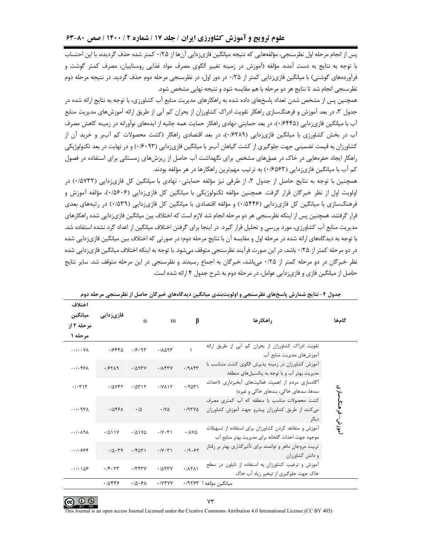پس از انجام مرحله اول نظرسنجي، مؤلفههايي كه نتيجه ميانگين فازيزدايي آنها از ۲۵/۰ كمتر شده حذف گرديده، با اين احتساب با توجه به نتایج به دست آمده، مؤلفه (آموزش در زمینه تغییر الگوی مصرف مواد غذایی روستاییان، مصرف کمتر گوشت و فرآوردههای گوشتی) با میانگین فازی;دایی کمتر از ۰/۲۵ در دور اول، در نظرسنجی مرحله دوم حذف گردید. در نتیجه مرحله دوم نظرسنجی انجام شد تا نتایج هر دو مرحله با هم مقایسه شود و نتیجه نهایی مشخص شود.

همچنین پس از مشخص شدن تعداد پاسخهای داده شده به راهکارهای مدیریت منابع آب کشاورزی، با توجه به نتایج ارائه شده در جدول ۳، در بعد آموزش و فرهنگسازی راهکار تقویت ادراک کشاورزان از بحران کم آبی از طریق ارائه آموزشهای مدیریت منابع آب با میانگین فازی;دایی (۱۶۴۴۵)، در بعد حمایتی-نهادی راهکار حمایت همه جانبه از ایدههای نوآورانه در زمینه کاهش مصرف آب در بخش کشاورزی با میانگین فازیزدایی (۰/۶۲۸۹)، در بعد اقتصادی راهکار (کشت محصولات کم آببر و خرید آن از کشاورزان به قیمت تضمینی جهت جلوگیری از کشت گیاهان آببر با میانگین فازیزدایی (۰/۶۰۹۳) و در نهایت در بعد تکنولوژیکی راهکار ایجاد حفرههایی در خاک در عمقهای مشخص برای نگهداشت آب حاصل از ریزشهای زمستانی برای استفاده در فصول کم آب با میانگین فازیزدایی (۱۶۵۶۲) به ترتیب مهمترین راهکارها در هر مؤلفه بودند.

همچنین با توجه به نتایج حاصل از جدول ۳، از طرفی نیز مؤلفه حمایتی- نهادی با میانگین کل فازی;دایی (۷۳۲/۰) در اولویت اول از نظر خبرگان قرار گرفت. همچنین مؤلفه تکنولوژیکی با میانگین کل فازیزدایی (۰/۵۶۰۶)، مؤلفه آموزش و فرهنگسازی با میانگین کل فازیزدایی (۱۵۴۴۶) و مؤلفه اقتصادی با میانگین کل فازیزدایی (۱۵۳۹) در رتبههای بعدی قرار گرفتند. همچنین پس از اینکه نظرسنجی هر دو مرحله انجام شد لازم است که اختلاف بین میانگین فازیزدایی شده راهکارهای مدیریت منابع آب کشاورزی، مورد بررسی و تحلیل قرار گیرد. در اینجا برای گرفتن اختلاف میانگین از اعداد گرد نشده استفاده شد. با توجه به دیدگاههای ارائه شده در مرحله اول و مقایسه آن با نتایج مرحله دوم؛ در صورتی که اختلاف بین میانگین فازیزدایی شده در دو مرحله کمتر از ۲۵/۰ باشد، در این صورت فرآیند نظرسنجی متوقف میشود. با توجه به اینکه اختلاف میانگین فازیزدایی شده نظر خبرگان در دو مرحله کمتر از ۰/۲۵ می باشد، خبرگان به اجماع رسیدند و نظرسنجی در این مرحله متوقف شد. سایر نتایج حاصل از میانگین فازی و فازیزدایی عوامل، در مرحله دوم به شرح جدول ۴ ارائه شده است.

| احتلاف<br>ميانگين<br>مرحله ۲ از<br>مرحله ۱ | فازیز دایی | $\alpha$           | m                                            | β                  | راهكارها                                                                                                 | گامها            |
|--------------------------------------------|------------|--------------------|----------------------------------------------|--------------------|----------------------------------------------------------------------------------------------------------|------------------|
| $- \cdot / \cdot \cdot \forall \lambda$    | .19990     | .19.91             | .70097                                       | ١                  | تقویت ادراک کشاورزان از بحران کم ابی از طریق ارائه<br>اموزشهای مدیریت منابع آب                           |                  |
| $-1.59A$                                   | .19719     | .7097V             | .1154V                                       | .19                | آموزش کشاورزان در زمینه پذیرش الگوی کشت متناسب با<br>مدیریت بهتر آب و با توجه به پتانسیلهای منطقه        |                  |
| .7.71                                      | .70087     | .70515             | $.1Y$ $\wedge$                               | .7901              | آگاهسازی مردم از اهمیت فعالیتهای آبخیزداری (احداث<br>سدها، سدهای خاکی، بندهای خاکی و غیره)               |                  |
| $-1.97A$                                   | .10591     | $\cdot$ / $\Delta$ | $\cdot$ / Y $\Delta$                         | .197Y <sub>0</sub> | کشت محصولات مناسب با منطقه که آب کمتری مصرف<br>میکنند از طریق کشاورزان پیشرو جهت آموزش کشاورزان<br>ديگر  | موزش– فرهنگ سازی |
| $-1.19A$                                   | .7011V     | .701Y              | $\cdot$ / $\vee$ $\cdot$ $\uparrow$ $\wedge$ | .1110              | آموزش و متقاعد کردن کشاورزان برای استفاده از تسهیلات<br>موجود جهت احداث گلخانه برای مدیریت بهتر منابع آب |                  |
| $-1.999$                                   | .10.79     | .76071             | .79.71                                       | .19.57             | تربیت مروجان ماهر و توانمند برای تأثیرگذاری بهتر بر رفتار<br>و دانش کشاورزان                             |                  |
| $-108$                                     | .76.77     | .7797V             | .7097V                                       | .11711             | آموزش و ترغیب کشاورزان به استفاده از نایلون در سطح<br>خاک جهت جلوگیری از تبخیر زیاد آب خاک               |                  |
|                                            | .10889     | .10.51             | $.$ / $V$ $V$ $V$ $V$                        |                    | ميانگين مؤلفه ا ۰/۹۲۶۳                                                                                   |                  |

جدول ۴– نتایج شمارش پاسخهای نظرسنجی و اولویتبندی میانگین دیدگاههای خبرگان حاصل از نظرسنجی مرحله دوم



his Journal is an open access Journal Licensed under the Creative Commons Attribution 4.0 International License (CC BY 405)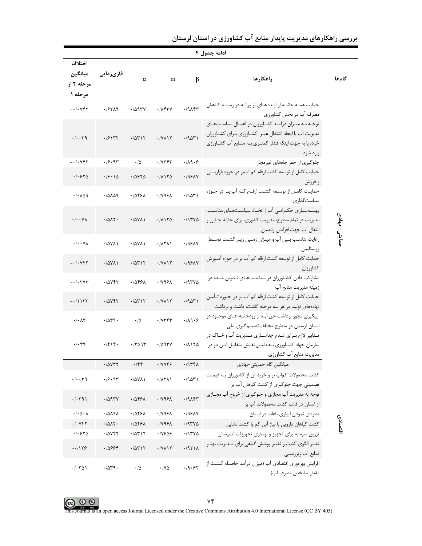| ادامه جدول ۴  |                                                                                                                                                                                                                   |               |                                                |                        |                                      |                                                  |  |  |
|---------------|-------------------------------------------------------------------------------------------------------------------------------------------------------------------------------------------------------------------|---------------|------------------------------------------------|------------------------|--------------------------------------|--------------------------------------------------|--|--|
| گامها         | راهكارها                                                                                                                                                                                                          | β             | m                                              | $\alpha$               | فازیزدایی                            | اختلاف<br>ميانگين<br>مرحله ۲ از<br>مرحله ۱       |  |  |
|               | حمایت همـه جانبـه از ایـدههـای نوآورانـه در زمینـه كـاهش                                                                                                                                                          | .79           | $.1$ $\Lambda$ ۴۳۷                             | .7097V                 | .19719                               | $-1.444$                                         |  |  |
|               | مصرف آب در بخش کشاورزی<br>توجـه بـه ميـزان درآمـد كشـاورزان در اعمـال سياسـتهـاى<br>مدیریت آب یا ایجاد اشتغال غیـر کشـاورزی بـرای کشـاورزان<br>خرده پا به جهت اینکه فشار کمتری بـه منـابع آب کشـاورزی<br>وارد شود | .7901         | $\cdot$ / $V$ $\wedge$ $\wedge$ $\wedge$       | .70717                 | .79177                               | $\cdot/\cdot\cdot$ ٣٩                            |  |  |
|               | جلوگیری از حفر چاههای غیرمجاز                                                                                                                                                                                     | $\cdot$ /19.5 | $\cdot$ / $V$ $V$ $V$ $V$                      | $\cdot/\Delta$         | .99.97                               | $-1.444$                                         |  |  |
|               | حمایت کامل از توسعه کشت ارقام کم آببر در حوزه بازاریـابی<br>و فروش                                                                                                                                                | .199AY        | .71170                                         | ۰/۵۶۲۵                 | $\cdot$ /9 $\cdot$ 15                | $-1.540$                                         |  |  |
|               | حمایت کامـل از توسـعه کشـت ارقـام کـم آب بـر در حـوزه<br>سىاست گذارى                                                                                                                                              | .7901         | $\cdot$ / $\vee$ 96 $\wedge$                   | ۰/۵۴۶۸                 | ۰/۵۸۵۹                               | $-1.109$                                         |  |  |
| حمايتى- نهادى | بهینــهســازی حکمرانــی آب ( اتخــاذ سیاســتهــای مناســب،<br>مدیریت در تمام سطوح، مدیریت کشوری، برای جابـه جـایی و<br>انتقال آب جهت افزايش راندمان                                                               | .797V         | .71170                                         | $\cdot$ / $\Delta$ YA) | $\cdot$ /0 $\Lambda$ ۲.              | $\cdot/\cdot\cdot\gamma$                         |  |  |
|               | رعایت تناسب بین آب و میزان زمین زیر کشت توسط<br>روستاييان                                                                                                                                                         | .199AN        | .7111                                          | $\cdot$ / $\Delta$ YA) | $.70Y$ $($                           | $-\cdot/\cdot\cdot\forall\lambda$                |  |  |
|               | حمایت کامل از توسعه کشت ارقام کم آب بر در حوزه آمــوزش<br>كشاورزان                                                                                                                                                | .199AY        | $\cdot$ / $V$ $\wedge$ $\wedge$ $\wedge$       | .70717                 | $\cdot$ / $\Delta$ YA)               | $-1.144$                                         |  |  |
|               | مشارکت دادن کشاورزان در سیاستهای تدوین شده در<br>زمینه مدیریت منابع آب                                                                                                                                            | .797V         | $\cdot$ / $\vee$ 96 $\wedge$                   | ۰/۵۴۶۸                 | ۰/۵۷۴۲                               | $- \cdot / \cdot \text{Y} \text{Y} \text{Y}$     |  |  |
|               | حمایت کامل از توسعه کشت ارقام کم آب بر در حـوزه تـأمین<br>نهادههای تولید در هر سه مرحله کاشت، داشت و برداشت                                                                                                       | .7901         | $\cdot$ / $V$ $\wedge$ $\wedge$ $\wedge$       | .70717                 | .70YFT                               | $-11157$                                         |  |  |
|               | پیگیری مجوز برداشت حق آبـه از رودخانـه هـای موجـود در<br>استان لرستان در سطوح مختلف تصمیم گیری ملی                                                                                                                | .119.5        | $\cdot$ / $\vee$ $\forall$ $\forall$ $\forall$ | $\cdot/\Delta$         | ۰/۵۳۹۰                               | $\cdot$ / $\cdot$ $\wedge$ $\vee$                |  |  |
|               | تـدابير لازم بـراي عـدم جداســازي مـديريت آب و خــاک در<br>سازمان جهاد کشـاورزی بـه دلیـل نقـش متقابـل ایـن دو در<br>مدیریت منابع آب کشاورزی                                                                      | .71170        | ۰/۵۹۳۷                                         | $\cdot$ /۳۵۹۳          | $\cdot$ /۴۱۴۰                        | $\cdot$ / $\cdot$ $4$                            |  |  |
|               | میانگین گام حمایتی-نهادی                                                                                                                                                                                          | .7977         | $\cdot$ / $\vee$ $\vee$ $\circ$                | $\cdot$ /۴۴            | $\cdot$ / $\Delta$ $\gamma$ $\gamma$ |                                                  |  |  |
|               | کشت محصولات کمآب بر و خرید آن از کشاورزان بـه قیمـت<br>تضمینی جهت جلوگیری از کشت گیاهان آب بر                                                                                                                     | .79071        | $\cdot$ / $\wedge$ $\wedge$                    | ۰/۵۷۸۱                 | .99.97                               | ۰/۰۰۳۹                                           |  |  |
|               | توجه به مدیریت آب مجازی و جلوگیری از خروج آب مجــازی<br>از استان در قالب کشت محصولات آب بر                                                                                                                        | .19           | $\cdot$ / $\vee$ 96 $\wedge$                   | ۰/۵۴۶۸                 | .7097Y                               | $\cdot/\cdot$ $\uparrow$ 9)                      |  |  |
|               | قطرهای نمودن آبیاری باغات در استان                                                                                                                                                                                | $.199\AA$     | ۰/۷۹۶۸                                         | ۰/۵۴۶۸                 | 1/0191                               | $-\cdot/\cdot \Delta \cdot \Lambda$              |  |  |
| اقتصادى       | کشت گیاهان دارویی با نیاز آبی کم یا کشت نشایی                                                                                                                                                                     | .797V         | $\cdot$ / $\vee$ 9.6 $\wedge$                  | ۱۵۴۶۸                  | .7017.                               | $.$ $/$ $.$ $V$ $F$ $T$                          |  |  |
|               | تزریق سرمایه برای تجهیز و نوسازی تجهیزات آبرسانی                                                                                                                                                                  | .797V         | .11909                                         | .70717                 | .70YFT                               | $-1.540$                                         |  |  |
|               | تغییر الگوی کشت و تغییر پوشش گیاهی برای مـدیریت بهتـر<br>منابع آب زيرزميني                                                                                                                                        | .1971A        | $\cdot$ / Y $\wedge$ \ $\vee$                  | .70717                 | .10999                               | $-1159$                                          |  |  |
|               | افزایش بهرەوری اقتصادی آب (میزان درآمد حاصـله کشـت از<br>مقدار مشخص مصرف آب)                                                                                                                                      | .19.57        | $\cdot$ /YA                                    | $\cdot/\Delta$         | .7049.                               | $\cdot$ $\cdot$ $\uparrow$ $\uparrow$ $\uparrow$ |  |  |

بررسی راهکارهای مدیریت پایدار منابع آب کشاورزی در استان لرستان



This Journal is an open access Journal Licensed under the Creative Commons Attribution 4.0 International License (CC BY 405)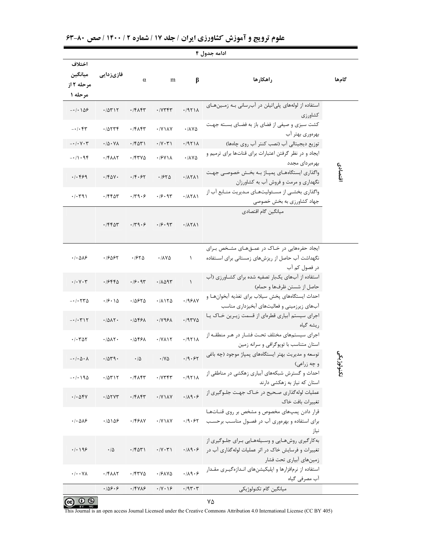|                                                    | ادامه جدول ۴                                 |                           |                                        |                                |                                                                                                                                     |           |  |  |  |
|----------------------------------------------------|----------------------------------------------|---------------------------|----------------------------------------|--------------------------------|-------------------------------------------------------------------------------------------------------------------------------------|-----------|--|--|--|
| اختلاف<br>ميانگين<br>مرحله ۲ از<br>مرحله ۱         | فازیزدایی                                    | $\alpha$                  | m                                      | $\beta$                        | راهكارها                                                                                                                            | گامها     |  |  |  |
| $-108$                                             | .70717                                       | $\cdot$ $/$ ۴ $\wedge$ ۴۳ | $\cdot$ / $\gamma$ $\gamma$ $\gamma$   | .1971A                         | استفاده از لولههای پلیاتیلن در آبرسانی بـه زمـینهـای<br>كشاورزى                                                                     |           |  |  |  |
| $-\cdot/\cdot$ ۴۳                                  | .70577                                       | .79                       | $\cdot$ /Y \ $\lambda$ Y               | $\cdot$ / $\lambda$ Y $\Delta$ | کشت سبزی و صیفی از فضای باز به فضـای بسـته جهـت<br>بهرەورى بهتر آب                                                                  |           |  |  |  |
| $-\cdot/\cdot$ $\vee$ $\cdot \curlyvee$            | $\cdot$ / $\Delta$ $\cdot$ $\vee$ $\wedge$   | $\cdot$ $80^\circ$        | $\cdot$ /Y $\cdot$ $\uparrow$ \        | .1971A                         | توزیع دیجیتالی آب (نصب کنتر آب روی چاهها)                                                                                           |           |  |  |  |
| $-1$ $\cdot$ 94                                    | $\cdot$ $ \mathsf{Y}\wedge\wedge\mathsf{Y} $ | .757V                     | $\cdot$ / $5$ Y \ $\wedge$             | $\cdot$ / $\lambda$ Y $\Delta$ | ایجاد و در نظر گرفتن اعتبارات برای قناتها برای ترمیم و<br>بهرهبردای مجدد                                                            |           |  |  |  |
| .1.499                                             | $\cdot$ /۴۵۷.                                | $\cdot$ /۴۰۶۲             | .1970                                  | .711                           | واگذاری ایستگاههـای پمپـاژ بـه بخـش خصوصـی جهـت<br>نگهداری و مرمت و فروش آب به کشاورزان                                             | اقتصادى   |  |  |  |
| .7.791                                             | .7880                                        | $\cdot$ /٣٩ $\cdot$ ۶     | .49.97                                 | .11711                         | واگذاری بخشـی از مسـئولیتهـای مـدیریت منـابع آب از                                                                                  |           |  |  |  |
|                                                    |                                              |                           |                                        |                                | جهاد کشاورزی به بخش خصوصی                                                                                                           |           |  |  |  |
|                                                    | .7880                                        | $\cdot$ /٣٩ $\cdot$ ۶     | .79.97                                 | .7111                          | میانگین گام اقتصادی                                                                                                                 |           |  |  |  |
| $\cdot$ / $\cdot$ $\Delta$ $\lambda$ $\epsilon$    | ۰۱۶۵۶۲                                       | ۱۶۲۵.                     | ۰/۸۷۵                                  | $\lambda$                      | ایجاد حفرههایی در خاک در عمقهای مشخص برای<br>نگهداشت آب حاصل از ریزشهای زمستانی برای استفاده<br>در فصول کم آب                       |           |  |  |  |
| $\cdot$ / $\cdot$ $\vee$ $\cdot$ $\uparrow$        | .7988                                        | .19.97                    | .70097                                 | $\lambda$                      | استفاده از آبهای یکبار تصفیه شده برای کشاورزی (آب<br>حاصل از شستن ظرفها و حمام)                                                     |           |  |  |  |
| $- \cdot / \cdot \tau \tau \Delta$                 | $\cdot$ /۶ $\cdot$ 15                        | ۱۵۶۲۵.                    | .71170                                 | .199AY                         | احداث ایستگاههای پخش سیلاب برای تغذیه آبخوانهـا و<br>آبهای زیرزمینی و فعالیتهای آبخیزداری مناسب                                     |           |  |  |  |
| $-1$ . $\uparrow$ \r                               | .7015                                        | .78891                    | .1199A                                 | .197Y0                         | اجرای سیستم آبیاری قطرهای از قسمت زیـرین خـاک یـا<br>, پشه گیاه                                                                     |           |  |  |  |
| $\cdot$ / $\cdot$ $\uparrow$ $\uparrow$ $\uparrow$ | .7017.                                       | ۱۵۴۶۸.                    | $\cdot$ / Y $\wedge$ $\wedge$ $\wedge$ | .1971A                         | اجرای سیستمهای مختلف تحت فشـار در هـر منطقـه از<br>استان متناسب با تویوگرافی و سرانه زمین                                           |           |  |  |  |
| - • / • ۵ • ۸                                      | .7079.                                       |                           | $\cdot$ /y $\Delta$                    | .19.57                         | توسعه و مدیریت بهتر ایستگاههای پمپاژ موجود (چه باغی<br>و چه زراعی)                                                                  | ᡐ         |  |  |  |
| $-1.190$                                           | .70717                                       | $\cdot$ /۴۸۴۳             | $\cdot$ / $\gamma$ $\gamma$ $\gamma$   | .1971A                         | احداث و گسترش شبکههای آبیاری زهکشی در مناطقی از<br>استان که نیاز به زهکشی دارند                                                     | تكنولوژيا |  |  |  |
| $. / . \, \Delta FV$                               | .707YT                                       | .79                       | $\cdot$ /Y \ $\lambda$ Y               | .119.5                         | عملیات لولهگذاری صحیح در خـاک جهـت جلـوگیری از<br>تغييرات بافت خاك                                                                  |           |  |  |  |
| $\cdot$ / $\cdot$ $\Delta$ $\lambda$ $\epsilon$    | .70109                                       | .7551V                    | $\cdot$ / $\vee$ $\wedge$ $\vee$       | .19.57                         | قرار دادن پمپهای مخصوص و مشخص بر روی قنــاتهــا<br>برای استفاده و بهرهوری آب در فصـول مناسـب برحسـب<br>نياز                         |           |  |  |  |
| $\cdot$ / $\cdot$ / 96                             | $\cdot/\Delta$                               | .76071                    | $\cdot$ /Y $\cdot$ $\uparrow$ \        | $\cdot$ /19.5                  | به کارگیری روشهبایی و وسیلههبایی بیرای جلبوگیری از<br>تغییرات و فرسایش خاک در اثر عملیات لولهگذاری آب در<br>زمينهاي آبياري تحت فشار |           |  |  |  |
| $\cdot/\cdot\cdot\forall\lambda$                   | $\cdot$ /۴۸۸۲                                | .757V                     | $\cdot$ /۶۸۷۵                          | $\cdot/\lambda$ ٩ $\cdot$ ۶    | استفاده از نرمافزارها و اپلیکیشنهای انـدازهگیـری مقـدار<br>آب مصرفی گیاه                                                            |           |  |  |  |
|                                                    | .109.9                                       | .7949                     | $\cdot$ /Y $\cdot$ 16                  | .797.7                         | ميانگين گام تكنولوژيكي                                                                                                              |           |  |  |  |

علوم ترویج و آموزش کشاورزی ایران / جلد ۱۷ / شماره ۲ / ۱۴۰۰ / صص ۸۰-۶۳<br>مسیحید

 $\bigodot$   $\bigodot$   $\bigodot$   $\bigodot$   $\bigodot$   $\bigodot$ <br>This Journal is an open access Journal Licensed under the Creative Commons Attribution 4.0 International License (CC BY 405)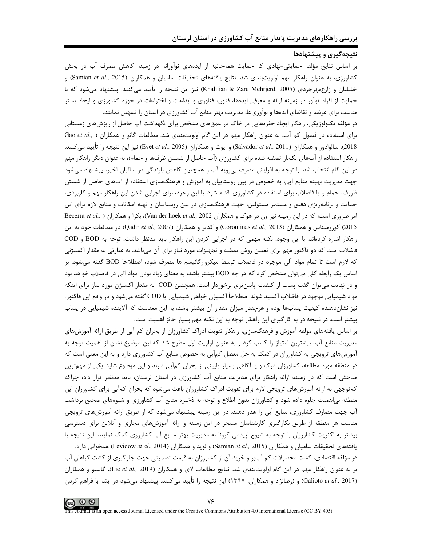## <mark>نتیجهگیری و پیشنهادها</mark>

بر اساس نتایج مؤلفه حمایتی-نهادی که حمایت همهجانبه از ایدههای نوآورانه در زمینه کاهش مصرف آب در بخش كشاورزي، به عنوان راهكار مهم اولويتبندي شد. نتايج يافتههاي تحقيقات ساميان و همكاران (Samian *et al.,* 2015) و خلیلیان و زارعمهرجردی (Khalilian & Zare Mehrjerd, 2005) نیز این نتیجه را تأیید میکنند. پیشنهاد میشود که با حمایت از افراد نوآور در زمینه ارائه و معرفی ایدهها، فنون، فناوری و ابداعات و اختراعات در حوزه کشاورزی و ایجاد بستر مناسب برای عرضه و تقاضای ایدهها و نوآوریها، مدیریت بهتر منابع آب کشاورزی در استان را تسهیل نمایند.

در مؤلفه تکنولوژیکی، راهکار ایجاد حفرههایی در خاک در عمقهای مشخص برای نگهداشت آب حاصل از ریزشهای زمستانی برای استفاده در فصول کم آب، به عنوان راهکار مهم در این گام اولویتبندی شد. مطالعات گائو و همکاران ( ,Gao *et al* 2018)، سالوادور و همكاران (Salvador *et al.,* 2011) و ايوت و همكاران (Evet *et al.,* 2005) نيز اين نتيجه را تأييد ميكنند. راهکار استفاده از آبهای یکبار تصفیه شده برای کشاورزی (آب حاصل از شستن ظرفها و حمام)، به عنوان دیگر راهکار مهم در این گام انتخاب شد. با توجه به افزایش مصرف بیرویه آب و همچنین کاهش بارندگی در سالیان اخیر، پیشنهاد میشود جهت مدیریت بهینه منابع آبی، به خصوص در بین روستاییان به آموزش و فرهنگسازی استفاده از آبهای حاصل از شستن ظروف، حمام و یا فاضلاب برای استفاده در کشاورزی اقدام شود. با این وجود، برای اجرایی شدن این راهکار مهم و کاربردی، حمایت و برنامهریزی دقیق و مستمر مسئولین، جهت فرهنگسازی در بین روستاییان و تهیه امکانات و منابع لازم برای این امر ضروری است؛ که در این زمینه نیز ون در هوک و همکاران 2002 ,.Van der hoek *et al., )* بکرا و همکاران ( ,Becerra *et al* 2015) كوروميناس و همكاران (Corominas *et al., 2013)* و كدير و همكاران (Qadir *et al., 2007*) در مطالعات خود به اين راهکار اشاره کردهاند. با این وجود، نکته مهمی که در اجرایی کردن این راهکار باید مدنظر داشت، توجه به BOD و COD فاضلاب است که دو فاکتور مهم برای تعیین روش تصفیه و تجهیزات مورد نیاز برای آن میباشد. به عبارتی به مقدار اکسیژنی كه لازم است تا تمام مواد آلى موجود در فاضلاب توسط ميكروارگانيسم ها مصرف شود، اصطلاحا BOD گفته مىشود. بر اساس یک رابطه کلی میتوان مشخص کرد که هر چه BOD بیشتر باشد، به معنای زیاد بودن مواد آلی در فاضلاب خواهد بود و در نهایت میتوان گفت پساب از کیفیت پایینتری برخوردار است. همچنین COD به مقدار اکسیژن مورد نیاز برای اینکه مواد شيميايي موجود در فاضلاب اكسيد شوند اصطلاحاً اكسيژن خواهي شيميايي يا COD گفته ميشود و در واقع اين فاكتور . نیز نشاندهنده کیفیت پسابها بوده و هرچقدر میزان مقدار آن بیشتر باشد، به این معناست که آلاینده شیمیایی در پساب بیشتر است. در نتیجه در به کارگیری این راهکار توجه به این نکته مهم بسیار حائز اهمیت است.

بر اساس یافتههای مؤلفه آموزش و فرهنگسازی، راهکار تقویت ادراک کشاورزان از بحران کم آبی از طریق ارائه آموزشهای مدیریت منابع آب، بیشترین امتیاز را کسب کرد و به عنوان اولویت اول مطرح شد که این موضوع نشان از اهمیت توجه به آموزشهای ترویجی به کشاورزان در کمک به حل معضل کمآبی به خصوص منابع آب کشاورزی دارد و به این معنی است که در منطقه مورد مطالعه، کشاورزان درک و یا آگاهی بسیار پایینی از بحران کمآبی دارند و این موضوع شاید یکی از مهمترین مباحثی است که در زمینه ارائه راهکار برای مدیریت منابع آب کشاورزی در استان لرستان، باید مدنظر قرار داد، چراکه کمتوجهی به ارائه آموزشهای ترویجی لازم برای تقویت ادراک کشاورزان باعث میشود که بحران کمآبی برای کشاورزان این منطقه بی|همیت جلوه داده شود و کشاورزان بدون اطلاع و توجه به ذخیره منابع آب کشاورزی و شیوههای صحیح برداشت آب جهت مصارف کشاورزی، منابع آبی را هدر دهند. در این زمینه پیشنهاد میشود که از طریق ارائه آموزشهای ترویجی مناسب هر منطقه از طریق بکارگیری کارشناسان متبحر در این زمینه و ارائه آموزشهای مجازی و آنلاین برای دسترسی بیشتر به اکثریت کشاورزان با توجه به شیوع اپیدمی کرونا به مدیریت بهتر منابع آب کشاورزی کمک نمایند. این نتیجه با يافتههاي تحقيقات ساميان و همكاران (Samian *et al., 2*015) و لويد و همكاران (Levidow *et al.,* 2014) همخواني دارد.

در مؤلفه اقتصادی، کشت محصولات کم آببر و خرید آن از کشاورزان به قیمت تضمینی جهت جلوگیری از کشت گیاهان آب بر به عنوان راهكار مهم در اين گام اولويتبندي شد. نتايج مطالعات لاي و همكاران (Lie *et al.,* 2019)، گاليتو و همكاران (Galioto *et al.,* 2017) و (رضانژاد و همکاران، ۱۳۹۷) این نتیجه را تأیید میکنند. پیشنهاد میشود در ابتدا با فراهم کردن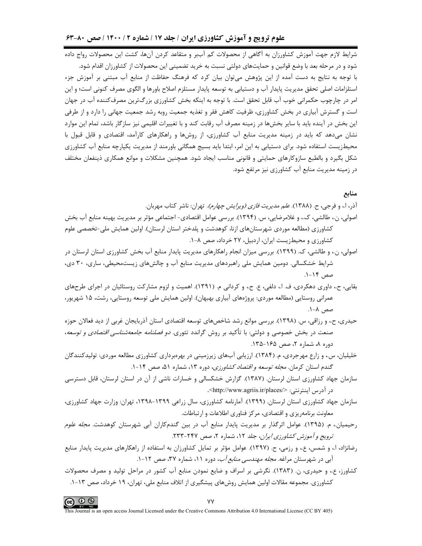### علوم ترویج و آموزش کشاورزی ایران / جلد ۱۷ / شماره ۲ / ۱۴۰۰ / صص ۸۰-۶۳

شرایط لازم جهت آموزش کشاورزان به آگاهی از محصولات کم آببر و متقاعد کردن آنها، کشت این محصولات رواج داده شود و در مرحله بعد با وضع قوانین و حمایتهای دولتی نسبت به خرید تضمینی این محصولات از کشاورزان اقدام شود. با توجه به نتایج به دست آمده از این پژوهش می توان بیان کرد که فرهنگ حفاظت از منابع آب مبتنی بر آموزش جزء استلزامات اصلی تحقق مدیریت پایدار آب و دستیابی به توسعه پایدار مستلزم اصلاح باورها و الگوی مصرف کنونی است؛ و این امر در چارچوب حکمرانی خوب آب قابل تحقق است. با توجه به اینکه بخش کشاورزی بزرگترین مصرفکننده آب در جهان است و گسترش آبیاری در بخش کشاورزی، ظرفیت کاهش فقر و تغذیه جمعیت روبه رشد جمعیت جهانی را دارد و از طرفی این بخش در آینده باید با سایر بخشها در زمینه مصرف آب رقابت کند و با تغییرات اقلیمی نیز سازگار باشد، تمام این موارد نشان میدهد که باید در زمینه مدیریت منابع آب کشاورزی، از روشها و راهکارهای کارآمد، اقتصادی و قابل قبول با محیطزیست استفاده شود. برای دستیابی به این امر، ابتدا باید بسیج همگانی باورمند از مدیریت پکپارچه منابع آب کشاورزی شکل بگیرد و بالطبع سازوکارهای حمایتی و قانونی مناسب ایجاد شود. همچنین مشکلات و موانع همکاری ذینفعان مختلف در زمینه مدیریت منابع آب کشاورزی نیز مرتفع شود.

### منابع

آذر، ا.، و فرجي، ح. (١٣٨٨). *علم مديريت فازي (ويرايش چهارم)*. تهران: ناشر كتاب مهربان.

- اصولي، ن.، طالشي، ک.، و غلامرضايي، س. (١٣٩۴). بررسي عوامل اقتصادي- اجتماعي مؤثر بر مديريت بهينه منابع آب بخش کشاورزی (مطالعه موردی شهرستانهای ازنا، کوهدشت و پلدختر استان لرستان). اولین همایش ملی-تخصصی علوم کشاورزی و محیطزیست ایران، اردبیل، ۲۷ خرداد، صص ۸-۱.
- اصولی، ن.، و طالشی، ک. (۱۳۹۹). بررسی میزان انجام راهکارهای مدیریت پایدار منابع آب بخش کشاورزی استان لرستان در شرایط خشکسالی. دومین همایش ملی راهبردهای مدیریت منابع آب و چالشهای زیستمحیطی، ساری، ۳۰ دی، صص ۱۴-۱.
- بقايي، ح.، داوري دهكردي، ف. ا.، دلفي، ع. ح.، و كرداني م. (١٣٩١). اهميت و لزوم مشاركت روستائيان در اجراي طرحهاي عمرانی روستایی (مطالعه موردی: پروژههای آبیاری بهبهان). اولین همایش ملی توسعه روستایی، رشت، ۱۵ شهریور، صص ۸-۱.
- حیدری، ح.، و رزاقی، س. (۱۳۹۸). بررسی موانع رشد شاخصهای توسعه اقتصادی استان آذربایجان غربی از دید فعالان حوزه صنعت در بخش خصوصی و دولتی: با تأکید بر روش گراندد تئوری. *دو فصلنامه جامعهشناسی اقتصادی و توسعه*، دوره ۸، شماره ۲، صص ۱۶۵-۱۳۵.
- خلیلیان، س.، و زارع مهرجردی، م. (۱۳۸۴). ارزیابی آبهای زیرزمینی در بهرهبرداری کشاورزی مطالعه موردی: تولیدکنندگان گندم استان کرمان. *مجله توسعه و اقتصاد کشاورزی*، دوره ۱۳، شماره ۵۱، صص ۱۴-۱.
- سازمان جهاد کشاورزی استان لرستان. (۱۳۸۷). گزارش خشکسالی و خسارات ناشی از آن در استان لرستان، قابل دسترسی در آدرس اینترنتی: </http://www.agriis.ir/places>.
- سازمان جهاد کشاورزی استان لرستان. (۱۳۹۹). آمارنامه کشاورزی، سال زراعی ۱۳۹۹–۱۳۹۸، تهران: وزارت جهاد کشاورزی، معاونت برنامهريزي و اقتصادي، مركز فناوري اطلاعات و ارتباطات.
- رحیمیان.، م. (۱۳۹۵). عوامل اثرگذار بر مدیریت پایدار منابع آب در بین گندمکاران آبی شهرستان کوهدشت. *مجله علوم* ترويج و آموزش كشاورزي ايران، جلد ١٢، شماره ٢، صص ٢٣٧-٢٣٣.
- رضانژاد، ا.، و شمس، ع.، و رزمی، ح. (۱۳۹۷). عوامل مؤثر بر تمایل کشاورزان به استفاده از راهکارهای مدیریت پایدار منابع آبی در شهرستان مراغه. *مجله مهندسی منابع آب*، دوره ۱۱، شماره ۳۷، صص ۱۲-۱.
- کشاورز، ع.، و حیدری، ن. (۱۳۸۳). نگرشی بر اسراف و ضایع نمودن منابع آب کشور در مراحل تولید و مصرف محصولات کشاورزی. مجموعه مقالات اولین همایش روشهای پیشگیری از اتلاف منابع ملی، تهران، ۱۹ خرداد، صص ۱۳-۱.

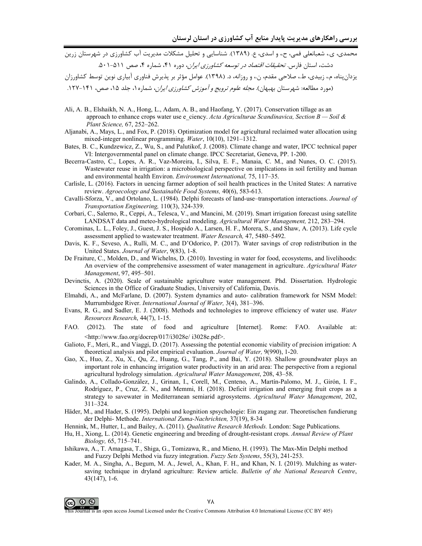محمدی، ی.، شعبانعلی فمی، ح.، و اسدی، ع. (۱۳۸۹). شناسایی و تحلیل مشکلات مدیریت آب کشاورزی در شهرستان زرین دشت، استان فارس. *تحقیقات اقتصاد در توسعه کشاورزی ایران،* دوره ۴۱، شماره ۴، صص ۵۱۱-۵۰۱.

یزدان پناه، م.، زبیدی، ط.، صلاحی مقدم، ن.، و روزانه، د. (۱۳۹۸). عوامل مؤثر بر پذیرش فناوری آبیاری نوین توسط کشاورزان (مورد مطالعه: شهرستان بهبهان). *مجله علوم ترويج و آموزش كشاورزي ايران*، شماره ۱، جلد ۱۵، صص، ۱۴۱-۱۲۷.

- Ali, A. B., Elshaikh, N. A., Hong, L., Adam, A. B., and Haofang, Y. (2017). Conservation tillage as an approach to enhance crops water use e ciency. Acta Agriculturae Scandinavica, Section  $B -$  Soil & Plant Science, 67, 252-262.
- Aljanabi, A., Mays, L., and Fox, P. (2018). Optimization model for agricultural reclaimed water allocation using mixed-integer nonlinear programming. Water, 10(10), 1291-1312.
- Bates, B. C., Kundzewicz, Z., Wu, S., and Palutikof, J. (2008). Climate change and water, IPCC technical paper VI: Intergovernmental panel on climate change. IPCC Secretariat, Geneva, PP. 1-200.
- Becerra-Castro, C., Lopes, A. R., Vaz-Moreira, I., Silva, E. F., Manaia, C. M., and Nunes, O. C. (2015). Wastewater reuse in irrigation: a microbiological perspective on implications in soil fertility and human and environmental health Environ. Environment International, 75, 117–35.
- Carlisle, L. (2016). Factors in uencing farmer adoption of soil health practices in the United States: A narrative review. Agroecology and Sustainable Food Systems, 40(6), 583-613.
- Cavalli-Sforza, V., and Ortolano, L. (1984). Delphi forecasts of land-use-transportation interactions. Journal of Transportation Engineering, 110(3), 324-339.
- Corbari, C., Salerno, R., Ceppi, A., Telesca, V., and Mancini, M. (2019). Smart irrigation forecast using satellite LANDSAT data and meteo-hydrological modeling. Agricultural Water Management, 212, 283-294.
- Corominas, L. L., Foley, J., Guest, J. S., Hospido A., Larsen, H. F., Morera, S., and Shaw, A. (2013). Life cycle assessment applied to wastewater treatment. Water Research, 47, 5480-5492.
- Davis, K. F., Seveso, A., Rulli, M. C., and D'Odorico, P. (2017). Water savings of crop redistribution in the United States. Journal of Water, 9(83), 1-8.
- De Fraiture, C., Molden, D., and Wichelns, D. (2010). Investing in water for food, ecosystems, and livelihoods: An overview of the comprehensive assessment of water management in agriculture. Agricultural Water Management, 97, 495-501.
- Devinctis, A. (2020). Scale of sustainable agriculture water management. Phd. Dissertation. Hydrologic Sciences in the Office of Graduate Studies, University of California, Davis.
- Elmahdi, A., and McFarlane, D. (2007). System dynamics and auto-calibration framework for NSM Model: Murrumbidgee River. International Journal of Water, 3(4), 381-396.
- Evans, R. G., and Sadler, E. J. (2008). Methods and technologies to improve efficiency of water use. Water Resources Research, 44(7), 1-15.
- FAO.  $(2012).$ The state of food and agriculture [Internet]. Rome: FAO. Available at: <http://www.fao.org/docrep/017/i3028e/ i3028e.pdf>.
- Galioto, F., Meri, R., and Viaggi, D. (2017). Assessing the potential economic viability of precision irrigation: A theoretical analysis and pilot empirical evaluation. Journal of Water, 9(990), 1-20.
- Gao, X., Huo, Z., Xu, X., Qu, Z., Huang, G., Tang, P., and Bai, Y. (2018). Shallow groundwater plays an important role in enhancing irrigation water productivity in an arid area: The perspective from a regional agricultural hydrology simulation. Agricultural Water Management, 208, 43-58.
- Galindo, A., Collado-González, J., Grinan, I., Corell, M., Centeno, A., Martín-Palomo, M. J., Girón, I. F., Rodríguez, P., Cruz, Z. N., and Memmi, H. (2018). Deficit irrigation and emerging fruit crops as a strategy to savewater in Mediterranean semiarid agrosystems. Agricultural Water Management, 202,  $311 - 324$ .
- Häder, M., and Hader, S. (1995). Delphi und kognition spsychologie: Ein zugang zur. Theoretischen fundierung der Delphi- Methode. International Zuma-Nachrichten, 37(19), 8-34
- Hennink, M., Hutter, I., and Bailey, A. (2011). Qualitative Research Methods. London: Sage Publications.
- Hu, H., Xiong, L. (2014). Genetic engineering and breeding of drought-resistant crops. Annual Review of Plant Biology, 65, 715-741.
- Ishikawa, A., T. Amagasa, T., Shiga, G., Tomizawa, R., and Mieno, H. (1993). The Max-Min Delphi method and Fuzzy Delphi Method via fuzzy integration. Fuzzy Sets Systems, 55(3), 241-253.
- Kader, M. A., Singha, A., Begum, M. A., Jewel, A., Khan, F. H., and Khan, N. I. (2019). Mulching as watersaving technique in dryland agriculture: Review article. Bulletin of the National Research Centre,  $43(147), 1-6.$



This Journal is an open access Journal Licensed under the Creative Commons Attribution 4.0 International License (CC BY 405)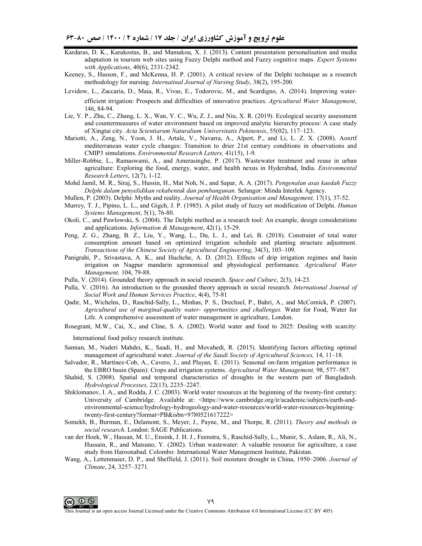- Kardaras, D. K., Karakostas, B., and Mamakou, X. J. (2013). Content presentation personalisation and media adaptation in tourism web sites using Fuzzy Delphi method and Fuzzy cognitive maps. *Expert Systems with Applications*, 40(6), 2331-2342.
- Keeney, S., Hasson, F., and McKenna, H. P. (2001). A critical review of the Delphi technique as a research methodology for nursing. *Internatinal Journal of Nursing Study*, 38(2), 195-200.
- Levidow, L., Zaccaria, D., Maia, R., Vivas, E., Todorovic, M., and Scardigno, A. (2014). Improving waterefficient irrigation: Prospects and difficulties of innovative practices. *Agricultural Water Management*, 146, 84-94.
- Lie, Y. P., Zhu, C., Zhang, L. X., Wan, Y. C., Wu, Z. J., and Niu, X. R. (2019). Ecological security assessment and countermeasures of water environment based on improved analytic hierarchy process: A case study of Xingtai city. *Acta Scientiarum Naturalium Universitatis Pekinensis*, 55(02), 117–123.
- Mariotti, A., Zeng, N., Yoon, J. H., Artale, V., Navarra, A., Alpert, P., and Li, L. Z. X. (2008). Aoxrtf mediterranean water cycle changes: Transition to drier 21st century conditions in observations and CMIP3 simulations. *Environmental Research Letters,* 41(15), 1-9.
- Miller-Robbie, L., Ramaswami, A., and Amerasinghe, P. (2017). Wastewater treatment and reuse in urban agriculture: Exploring the food, energy, water, and health nexus in Hyderabad, India. *Environmental Research Letters*, 12(7), 1-12.
- Mohd Jamil, M. R., Siraj, S., Hussin, H., Mat Noh, N., and Sapar, A. A. (2017). *Pengenalan asas kaedah Fuzzy Delphi dalam penyelidikan rekabentuk dan pembangunan.* Selangor: Minda Interlek Agency.

Mullen, P. (2003). Delphi: Myths and reality. *Journal of Health Organisation and Management,* 17(1), 37-52.

- Murrey, T. J., Pipino, L. L., and Gigch, J. P. (1985). A pilot study of fuzzy set modification of Delphi. *Human Systems Management*, 5(1), 76-80.
- Okoli, C., and Pawlowski, S. (2004). The Delphi method as a research tool: An example, design considerations and applications. *Information & Management*, 42(1), 15-29.
- Peng, Z. G., Zhang, B. Z., Liu, Y., Wang, L., Du, L. J., and Lei, B. (2018). Constraint of total water consumption amount based on optimized irrigation schedule and planting structure adjustment. *Transactions of the Chinese Society of Agricultural Engineering*, 34(3), 103–109.
- Panigrahi, P., Srivastava, A. K., and Huchche, A. D. (2012). Effects of drip irrigation regimes and basin irrigation on Nagpur mandarin agronomical and physiological performance. *Agricultural Water Management,* 104, 79-88.
- Pulla, V. (2014). Grounded theory approach in social research. *Space and Culture*, 2(3), 14-23.
- Pulla, V. (2016). An introduction to the grounded theory approach in social research. *International Journal of Social Work and Human Services Practice*, 4(4), 75-81
- Qadir, M., Wichelns, D., Raschid-Sally, L., Minhas, P. S., Drechsel, P., Bahri, A., and McCornick, P. (2007). *Agricultural use of marginal-quality water- opportunities and challenges.* Water for Food, Water for Life. A comprehensive assessment of water management in agriculture, London.
- Rosegrant, M.W., Cai, X., and Cline, S. A. (2002). World water and food to 2025: Dealing with scarcity:

International food policy research institute.

- Samian, M., Naderi Mahdei, K., Saadi, H., and Movahedi, R. (2015). Identifying factors affecting optimal management of agricultural water. *Journal of the Saudi Society of Agricultural Sciences,* 14, 11–18.
- Salvador, R., Martínez-Cob, A., Cavero, J., and Playan, E. (2011). Seasonal on-farm irrigation performance in the EBRO basin (Spain): Crops and irrigation systems. *Agricultural Water Management,* 98, 577–587.
- Shahid, S. (2008). Spatial and temporal characteristics of droughts in the western part of Bangladesh. *Hydrological Processes,* 22(13), 2235–2247.
- Shiklomanov, I. A., and Rodda, J. C. (2003). World water resources at the beginning of the twenty-first century: University of Cambridge. Available at: <https://www.cambridge.org/ir/academic/subjects/earth-andenvironmental-science/hydrology-hydrogeology-and-water-resources/world-water-resources-beginningtwenty-first-century?format=PB&isbn=9780521617222>
- Somekh, B., Burman, E., Delamont, S., Meyer, J., Payne, M., and Thorpe, R. (2011). *Theory and methods in social research*. London: SAGE Publications.
- van der Hoek, W., Hassan, M. U., Ensink, J. H. J., Feenstra, S., Raschid-Sally, L., Munir, S., Aslam, R., Ali, N., Hussain, R., and Matsuno, Y. (2002). Urban wastewater: A valuable resource for agriculture, a case study from Haroonabad. Colombo: International Water Management Institute, Pakistan.
- Wang, A., Lettenmaier, D. P., and Sheffield, J. (2011). Soil moisture drought in China, 1950–2006. *Journal of Climate*, 24, 3257–3271*.*